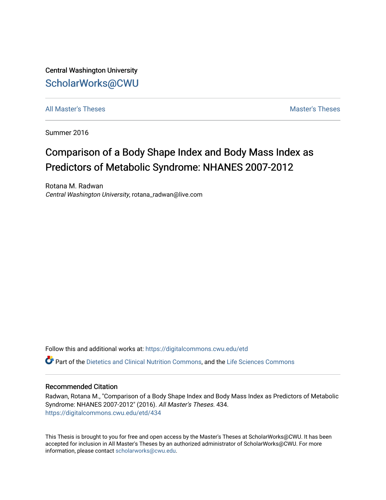Central Washington University [ScholarWorks@CWU](https://digitalcommons.cwu.edu/) 

[All Master's Theses](https://digitalcommons.cwu.edu/etd) and the set of the set of the set of the set of the set of the set of the set of the set of the set of the set of the set of the set of the set of the set of the set of the set of the set of the set of

Summer 2016

# Comparison of a Body Shape Index and Body Mass Index as Predictors of Metabolic Syndrome: NHANES 2007-2012

Rotana M. Radwan Central Washington University, rotana\_radwan@live.com

Follow this and additional works at: [https://digitalcommons.cwu.edu/etd](https://digitalcommons.cwu.edu/etd?utm_source=digitalcommons.cwu.edu%2Fetd%2F434&utm_medium=PDF&utm_campaign=PDFCoverPages) 

Part of the [Dietetics and Clinical Nutrition Commons,](http://network.bepress.com/hgg/discipline/662?utm_source=digitalcommons.cwu.edu%2Fetd%2F434&utm_medium=PDF&utm_campaign=PDFCoverPages) and the [Life Sciences Commons](http://network.bepress.com/hgg/discipline/1016?utm_source=digitalcommons.cwu.edu%2Fetd%2F434&utm_medium=PDF&utm_campaign=PDFCoverPages) 

## Recommended Citation

Radwan, Rotana M., "Comparison of a Body Shape Index and Body Mass Index as Predictors of Metabolic Syndrome: NHANES 2007-2012" (2016). All Master's Theses. 434. [https://digitalcommons.cwu.edu/etd/434](https://digitalcommons.cwu.edu/etd/434?utm_source=digitalcommons.cwu.edu%2Fetd%2F434&utm_medium=PDF&utm_campaign=PDFCoverPages) 

This Thesis is brought to you for free and open access by the Master's Theses at ScholarWorks@CWU. It has been accepted for inclusion in All Master's Theses by an authorized administrator of ScholarWorks@CWU. For more information, please contact [scholarworks@cwu.edu.](mailto:scholarworks@cwu.edu)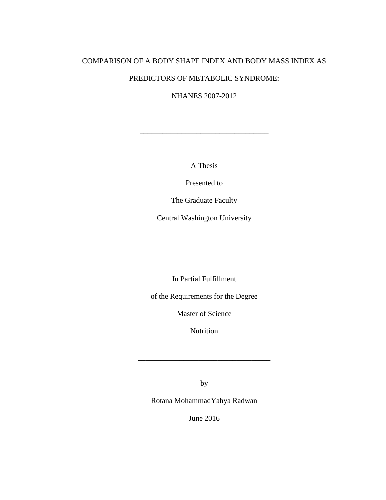# COMPARISON OF A BODY SHAPE INDEX AND BODY MASS INDEX AS PREDICTORS OF METABOLIC SYNDROME:

NHANES 2007-2012

A Thesis

\_\_\_\_\_\_\_\_\_\_\_\_\_\_\_\_\_\_\_\_\_\_\_\_\_\_\_\_\_\_\_\_\_\_

Presented to

The Graduate Faculty

Central Washington University

\_\_\_\_\_\_\_\_\_\_\_\_\_\_\_\_\_\_\_\_\_\_\_\_\_\_\_\_\_\_\_\_\_\_\_

In Partial Fulfillment

of the Requirements for the Degree

Master of Science

Nutrition

\_\_\_\_\_\_\_\_\_\_\_\_\_\_\_\_\_\_\_\_\_\_\_\_\_\_\_\_\_\_\_\_\_\_\_

by

Rotana MohammadYahya Radwan

June 2016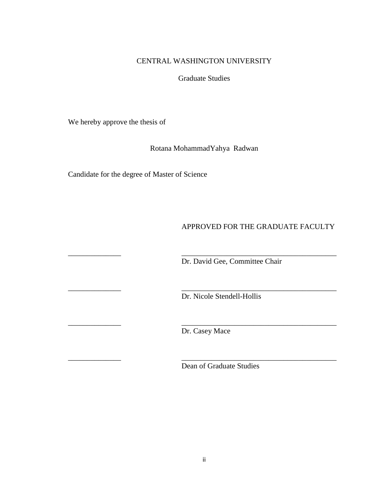# CENTRAL WASHINGTON UNIVERSITY

Graduate Studies

We hereby approve the thesis of

Rotana MohammadYahya Radwan

Candidate for the degree of Master of Science

# APPROVED FOR THE GRADUATE FACULTY

Dr. David Gee, Committee Chair

Dr. Nicole Stendell-Hollis

Dr. Casey Mace

\_\_\_\_\_\_\_\_\_\_\_\_\_\_ \_\_\_\_\_\_\_\_\_\_\_\_\_\_\_\_\_\_\_\_\_\_\_\_\_\_\_\_\_\_\_\_\_\_\_\_\_\_\_\_\_

\_\_\_\_\_\_\_\_\_\_\_\_\_\_ \_\_\_\_\_\_\_\_\_\_\_\_\_\_\_\_\_\_\_\_\_\_\_\_\_\_\_\_\_\_\_\_\_\_\_\_\_\_\_\_\_

\_\_\_\_\_\_\_\_\_\_\_\_\_\_ \_\_\_\_\_\_\_\_\_\_\_\_\_\_\_\_\_\_\_\_\_\_\_\_\_\_\_\_\_\_\_\_\_\_\_\_\_\_\_\_\_

\_\_\_\_\_\_\_\_\_\_\_\_\_\_ \_\_\_\_\_\_\_\_\_\_\_\_\_\_\_\_\_\_\_\_\_\_\_\_\_\_\_\_\_\_\_\_\_\_\_\_\_\_\_\_\_

Dean of Graduate Studies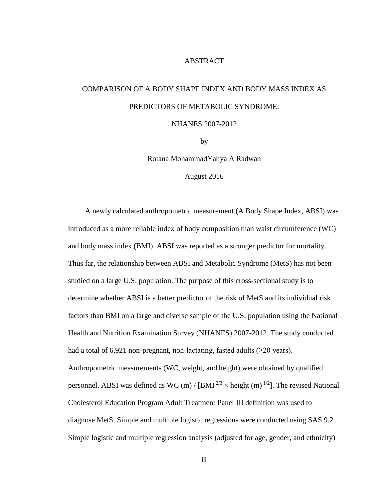## ABSTRACT

# COMPARISON OF A BODY SHAPE INDEX AND BODY MASS INDEX AS PREDICTORS OF METABOLIC SYNDROME:

## NHANES 2007-2012

by

Rotana MohammadYahya A Radwan

August 2016

A newly calculated anthropometric measurement (A Body Shape Index, ABSI) was introduced as a more reliable index of body composition than waist circumference (WC) and body mass index (BMI). ABSI was reported as a stronger predictor for mortality. Thus far, the relationship between ABSI and Metabolic Syndrome (MetS) has not been studied on a large U.S. population. The purpose of this cross-sectional study is to determine whether ABSI is a better predictor of the risk of MetS and its individual risk factors than BMI on a large and diverse sample of the U.S. population using the National Health and Nutrition Examination Survey (NHANES) 2007-2012. The study conducted had a total of 6,921 non-pregnant, non-lactating, fasted adults  $(\geq 20 \text{ years})$ . Anthropometric measurements (WC, weight, and height) were obtained by qualified personnel. ABSI was defined as WC (m) / [BMI  $^{2/3}$  × height (m)  $^{1/2}$ ]. The revised National Cholesterol Education Program Adult Treatment Panel III definition was used to diagnose MetS. Simple and multiple logistic regressions were conducted using SAS 9.2. Simple logistic and multiple regression analysis (adjusted for age, gender, and ethnicity)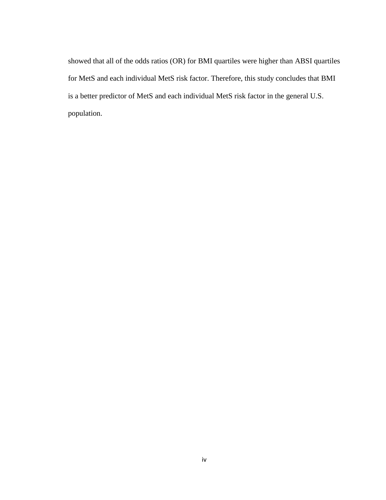showed that all of the odds ratios (OR) for BMI quartiles were higher than ABSI quartiles for MetS and each individual MetS risk factor. Therefore, this study concludes that BMI is a better predictor of MetS and each individual MetS risk factor in the general U.S. population.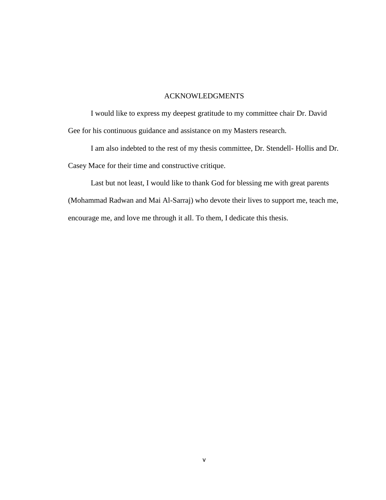## ACKNOWLEDGMENTS

I would like to express my deepest gratitude to my committee chair Dr. David Gee for his continuous guidance and assistance on my Masters research.

I am also indebted to the rest of my thesis committee, Dr. Stendell- Hollis and Dr. Casey Mace for their time and constructive critique.

Last but not least, I would like to thank God for blessing me with great parents (Mohammad Radwan and Mai Al-Sarraj) who devote their lives to support me, teach me, encourage me, and love me through it all. To them, I dedicate this thesis.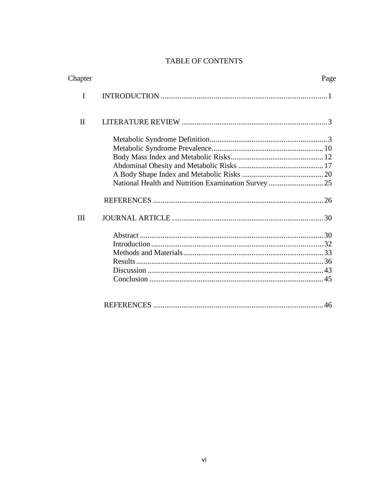# TABLE OF CONTENTS

| Chapter      | Page |
|--------------|------|
| I            |      |
| $\mathbf{I}$ |      |
|              |      |
|              |      |
|              |      |
|              |      |
|              |      |
|              |      |
|              |      |
| Ш            |      |
|              |      |
|              |      |
|              |      |
|              |      |
|              |      |
|              |      |
|              |      |
|              | 46   |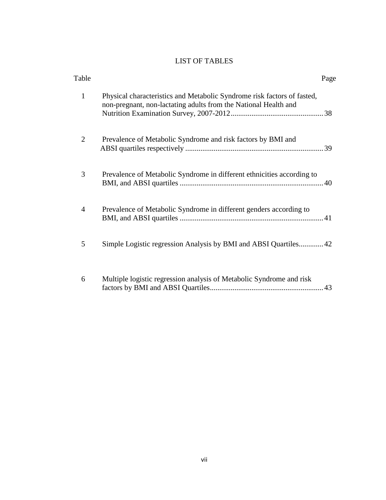# LIST OF TABLES

| Table          |                                                                                                                                            | Page |
|----------------|--------------------------------------------------------------------------------------------------------------------------------------------|------|
| $\mathbf{1}$   | Physical characteristics and Metabolic Syndrome risk factors of fasted,<br>non-pregnant, non-lactating adults from the National Health and |      |
| $\overline{2}$ | Prevalence of Metabolic Syndrome and risk factors by BMI and                                                                               |      |
| 3              | Prevalence of Metabolic Syndrome in different ethnicities according to                                                                     |      |
| $\overline{4}$ | Prevalence of Metabolic Syndrome in different genders according to                                                                         |      |
| 5              | Simple Logistic regression Analysis by BMI and ABSI Quartiles42                                                                            |      |
| 6              | Multiple logistic regression analysis of Metabolic Syndrome and risk                                                                       |      |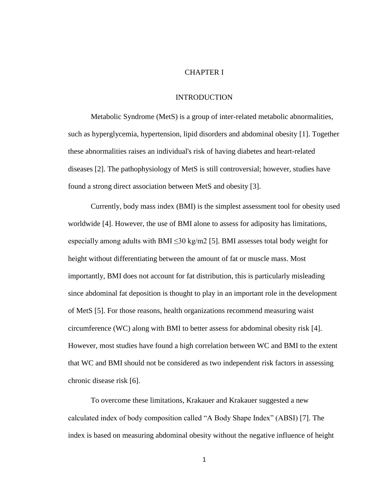## CHAPTER I

## INTRODUCTION

Metabolic Syndrome (MetS) is a group of inter-related metabolic abnormalities, such as hyperglycemia, hypertension, lipid disorders and abdominal obesity [1]. Together these abnormalities raises an individual's risk of having diabetes and heart-related diseases [2]. The pathophysiology of MetS is still controversial; however, studies have found a strong direct association between MetS and obesity [3].

Currently, body mass index (BMI) is the simplest assessment tool for obesity used worldwide [4]. However, the use of BMI alone to assess for adiposity has limitations, especially among adults with BMI  $\leq$ 30 kg/m2 [5]. BMI assesses total body weight for height without differentiating between the amount of fat or muscle mass. Most importantly, BMI does not account for fat distribution, this is particularly misleading since abdominal fat deposition is thought to play in an important role in the development of MetS [5]. For those reasons, health organizations recommend measuring waist circumference (WC) along with BMI to better assess for abdominal obesity risk [4]. However, most studies have found a high correlation between WC and BMI to the extent that WC and BMI should not be considered as two independent risk factors in assessing chronic disease risk [6].

To overcome these limitations, Krakauer and Krakauer suggested a new calculated index of body composition called "A Body Shape Index" (ABSI) [7]. The index is based on measuring abdominal obesity without the negative influence of height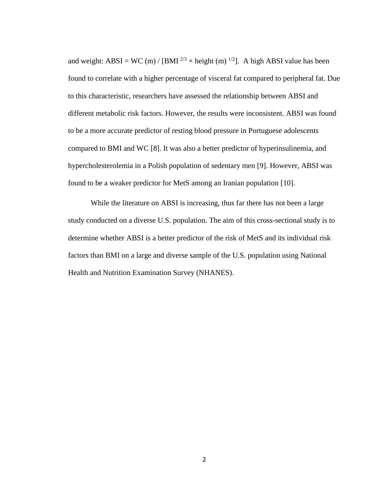and weight: ABSI = WC (m) / [BMI  $^{2/3}$  × height (m)  $^{1/2}$ ]. A high ABSI value has been found to correlate with a higher percentage of visceral fat compared to peripheral fat. Due to this characteristic, researchers have assessed the relationship between ABSI and different metabolic risk factors. However, the results were inconsistent. ABSI was found to be a more accurate predictor of resting blood pressure in Portuguese adolescents compared to BMI and WC [8]. It was also a better predictor of hyperinsulinemia, and hypercholesterolemia in a Polish population of sedentary men [9]. However, ABSI was found to be a weaker predictor for MetS among an Iranian population [10].

While the literature on ABSI is increasing, thus far there has not been a large study conducted on a diverse U.S. population. The aim of this cross-sectional study is to determine whether ABSI is a better predictor of the risk of MetS and its individual risk factors than BMI on a large and diverse sample of the U.S. population using National Health and Nutrition Examination Survey (NHANES).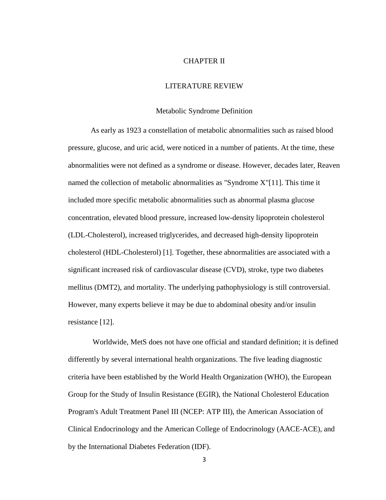### CHAPTER II

## LITERATURE REVIEW

## Metabolic Syndrome Definition

As early as 1923 a constellation of metabolic abnormalities such as raised blood pressure, glucose, and uric acid, were noticed in a number of patients. At the time, these abnormalities were not defined as a syndrome or disease. However, decades later, Reaven named the collection of metabolic abnormalities as "Syndrome X"[11]. This time it included more specific metabolic abnormalities such as abnormal plasma glucose concentration, elevated blood pressure, increased low-density lipoprotein cholesterol (LDL-Cholesterol), increased triglycerides, and decreased high-density lipoprotein cholesterol (HDL-Cholesterol) [1]. Together, these abnormalities are associated with a significant increased risk of cardiovascular disease (CVD), stroke, type two diabetes mellitus (DMT2), and mortality. The underlying pathophysiology is still controversial. However, many experts believe it may be due to abdominal obesity and/or insulin resistance [12].

Worldwide, MetS does not have one official and standard definition; it is defined differently by several international health organizations. The five leading diagnostic criteria have been established by the World Health Organization (WHO), the European Group for the Study of Insulin Resistance (EGIR), the National Cholesterol Education Program's Adult Treatment Panel III (NCEP: ATP III), the American Association of Clinical Endocrinology and the American College of Endocrinology (AACE-ACE), and by the International Diabetes Federation (IDF).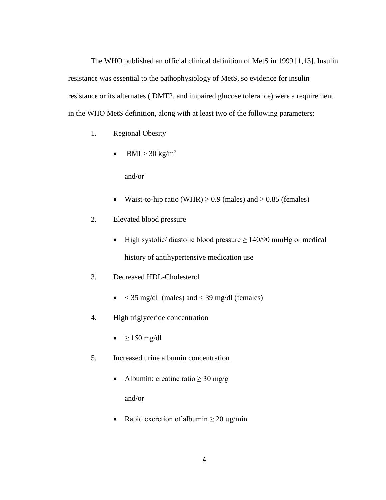The WHO published an official clinical definition of MetS in 1999 [1,13]. Insulin resistance was essential to the pathophysiology of MetS, so evidence for insulin resistance or its alternates ( DMT2, and impaired glucose tolerance) were a requirement in the WHO MetS definition, along with at least two of the following parameters:

- 1. Regional Obesity
	- $-BMI > 30$  kg/m<sup>2</sup>

and/or

- Waist-to-hip ratio (WHR)  $> 0.9$  (males) and  $> 0.85$  (females)
- 2. Elevated blood pressure
	- $\bullet$  High systolic/ diastolic blood pressure  $\geq 140/90$  mmHg or medical history of antihypertensive medication use
- 3. Decreased HDL-Cholesterol
	- $\bullet$  < 35 mg/dl (males) and < 39 mg/dl (females)
- 4. High triglyceride concentration
	- $\bullet$   $\geq$  150 mg/dl
- 5. Increased urine albumin concentration
	- Albumin: creatine ratio  $\geq 30$  mg/g

and/or

• Rapid excretion of albumin  $\geq 20 \mu g/min$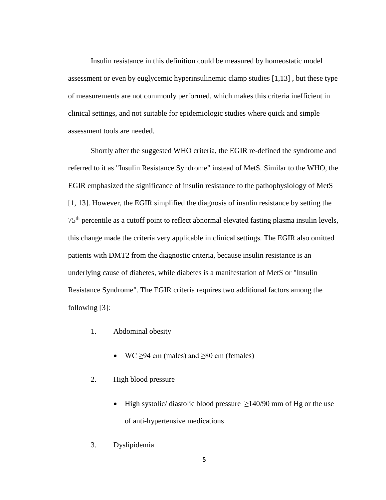Insulin resistance in this definition could be measured by homeostatic model assessment or even by euglycemic hyperinsulinemic clamp studies [1,13] , but these type of measurements are not commonly performed, which makes this criteria inefficient in clinical settings, and not suitable for epidemiologic studies where quick and simple assessment tools are needed.

Shortly after the suggested WHO criteria, the EGIR re-defined the syndrome and referred to it as "Insulin Resistance Syndrome" instead of MetS. Similar to the WHO, the EGIR emphasized the significance of insulin resistance to the pathophysiology of MetS [1, 13]. However, the EGIR simplified the diagnosis of insulin resistance by setting the 75th percentile as a cutoff point to reflect abnormal elevated fasting plasma insulin levels, this change made the criteria very applicable in clinical settings. The EGIR also omitted patients with DMT2 from the diagnostic criteria, because insulin resistance is an underlying cause of diabetes, while diabetes is a manifestation of MetS or "Insulin Resistance Syndrome". The EGIR criteria requires two additional factors among the following [3]:

- 1. Abdominal obesity
	- WC  $\geq$ 94 cm (males) and  $\geq$ 80 cm (females)
- 2. High blood pressure
	- High systolic/ diastolic blood pressure  $\geq$ 140/90 mm of Hg or the use of anti-hypertensive medications
- 3. Dyslipidemia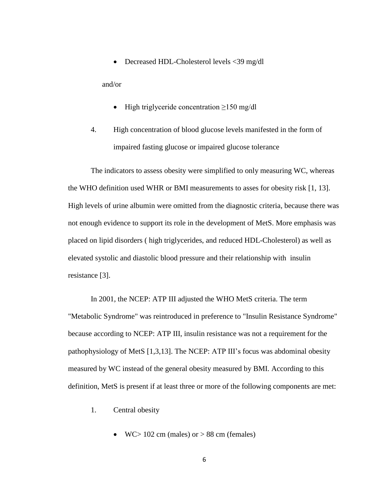• Decreased HDL-Cholesterol levels <39 mg/dl

and/or

- $\bullet$  High triglyceride concentration  $\geq 150$  mg/dl
- 4. High concentration of blood glucose levels manifested in the form of impaired fasting glucose or impaired glucose tolerance

The indicators to assess obesity were simplified to only measuring WC, whereas the WHO definition used WHR or BMI measurements to asses for obesity risk [1, 13]. High levels of urine albumin were omitted from the diagnostic criteria, because there was not enough evidence to support its role in the development of MetS. More emphasis was placed on lipid disorders ( high triglycerides, and reduced HDL-Cholesterol) as well as elevated systolic and diastolic blood pressure and their relationship with insulin resistance [3].

In 2001, the NCEP: ATP III adjusted the WHO MetS criteria. The term "Metabolic Syndrome" was reintroduced in preference to "Insulin Resistance Syndrome" because according to NCEP: ATP III, insulin resistance was not a requirement for the pathophysiology of MetS [1,3,13]. The NCEP: ATP III's focus was abdominal obesity measured by WC instead of the general obesity measured by BMI. According to this definition, MetS is present if at least three or more of the following components are met:

- 1. Central obesity
	- $\bullet$  WC > 102 cm (males) or > 88 cm (females)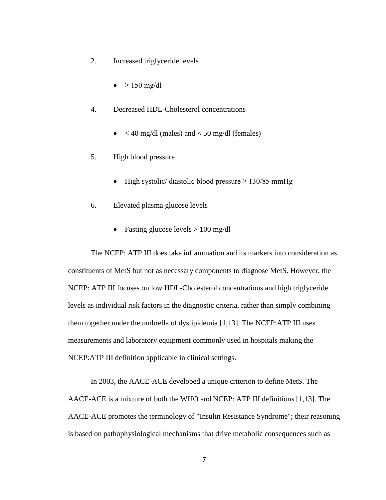- 2. Increased triglyceride levels
	- $\geq 150$  mg/dl
- 4. Decreased HDL-Cholesterol concentrations
	- $\bullet$  < 40 mg/dl (males) and < 50 mg/dl (females)
- 5. High blood pressure
	- High systolic/ diastolic blood pressure  $\geq 130/85$  mmHg
- 6. Elevated plasma glucose levels
	- Fasting glucose levels  $> 100$  mg/dl

The NCEP: ATP III does take inflammation and its markers into consideration as constituents of MetS but not as necessary components to diagnose MetS. However, the NCEP: ATP III focuses on low HDL-Cholesterol concentrations and high triglyceride levels as individual risk factors in the diagnostic criteria, rather than simply combining them together under the umbrella of dyslipidemia [1,13]. The NCEP:ATP III uses measurements and laboratory equipment commonly used in hospitals making the NCEP:ATP III definition applicable in clinical settings.

In 2003, the AACE-ACE developed a unique criterion to define MetS. The AACE-ACE is a mixture of both the WHO and NCEP: ATP III definitions [1,13]. The AACE-ACE promotes the terminology of "Insulin Resistance Syndrome"; their reasoning is based on pathophysiological mechanisms that drive metabolic consequences such as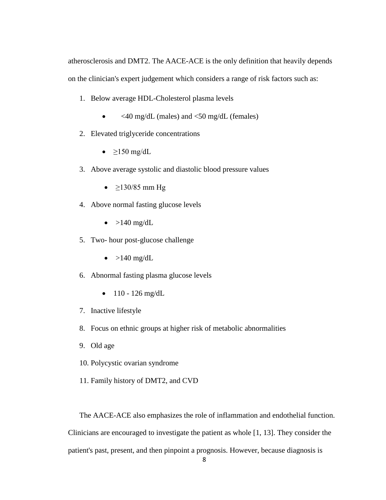atherosclerosis and DMT2. The AACE-ACE is the only definition that heavily depends on the clinician's expert judgement which considers a range of risk factors such as:

- 1. Below average HDL-Cholesterol plasma levels
	- $\langle 40 \text{ mg/dL} \rangle$  (males) and  $\langle 50 \text{ mg/dL} \rangle$  (females)
- 2. Elevated triglyceride concentrations
	- $\geq$ 150 mg/dL
- 3. Above average systolic and diastolic blood pressure values
	- $\bullet$  ≥130/85 mm Hg
- 4. Above normal fasting glucose levels
	- $\bullet$  >140 mg/dL
- 5. Two- hour post-glucose challenge
	- $\bullet$  >140 mg/dL
- 6. Abnormal fasting plasma glucose levels
	- $\bullet$  110 126 mg/dL
- 7. Inactive lifestyle
- 8. Focus on ethnic groups at higher risk of metabolic abnormalities
- 9. Old age
- 10. Polycystic ovarian syndrome
- 11. Family history of DMT2, and CVD

The AACE-ACE also emphasizes the role of inflammation and endothelial function. Clinicians are encouraged to investigate the patient as whole [1, 13]. They consider the patient's past, present, and then pinpoint a prognosis. However, because diagnosis is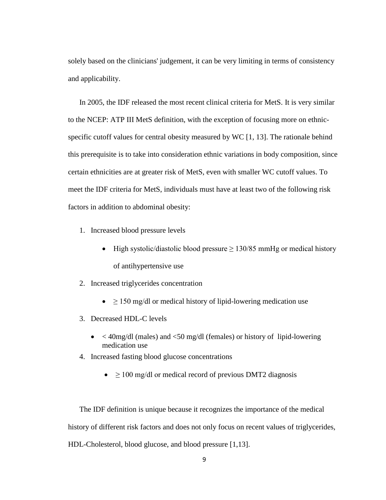solely based on the clinicians' judgement, it can be very limiting in terms of consistency and applicability.

In 2005, the IDF released the most recent clinical criteria for MetS. It is very similar to the NCEP: ATP III MetS definition, with the exception of focusing more on ethnicspecific cutoff values for central obesity measured by WC [1, 13]. The rationale behind this prerequisite is to take into consideration ethnic variations in body composition, since certain ethnicities are at greater risk of MetS, even with smaller WC cutoff values. To meet the IDF criteria for MetS, individuals must have at least two of the following risk factors in addition to abdominal obesity:

- 1. Increased blood pressure levels
	- High systolic/diastolic blood pressure  $≥ 130/85$  mmHg or medical history of antihypertensive use
- 2. Increased triglycerides concentration
	- $\bullet$   $\geq$  150 mg/dl or medical history of lipid-lowering medication use
- 3. Decreased HDL-C levels
	- $\bullet$  < 40mg/dl (males) and <50 mg/dl (females) or history of lipid-lowering medication use
- 4. Increased fasting blood glucose concentrations
	- $\bullet$   $\geq$  100 mg/dl or medical record of previous DMT2 diagnosis

The IDF definition is unique because it recognizes the importance of the medical history of different risk factors and does not only focus on recent values of triglycerides, HDL-Cholesterol, blood glucose, and blood pressure [1,13].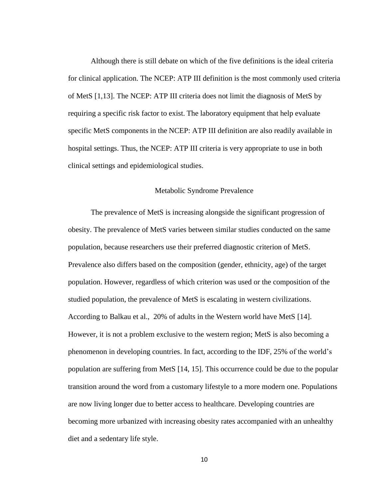Although there is still debate on which of the five definitions is the ideal criteria for clinical application. The NCEP: ATP III definition is the most commonly used criteria of MetS [1,13]. The NCEP: ATP III criteria does not limit the diagnosis of MetS by requiring a specific risk factor to exist. The laboratory equipment that help evaluate specific MetS components in the NCEP: ATP III definition are also readily available in hospital settings. Thus, the NCEP: ATP III criteria is very appropriate to use in both clinical settings and epidemiological studies.

## Metabolic Syndrome Prevalence

The prevalence of MetS is increasing alongside the significant progression of obesity. The prevalence of MetS varies between similar studies conducted on the same population, because researchers use their preferred diagnostic criterion of MetS. Prevalence also differs based on the composition (gender, ethnicity, age) of the target population. However, regardless of which criterion was used or the composition of the studied population, the prevalence of MetS is escalating in western civilizations. According to Balkau et al., 20% of adults in the Western world have MetS [14]. However, it is not a problem exclusive to the western region; MetS is also becoming a phenomenon in developing countries. In fact, according to the IDF, 25% of the world's population are suffering from MetS [14, 15]. This occurrence could be due to the popular transition around the word from a customary lifestyle to a more modern one. Populations are now living longer due to better access to healthcare. Developing countries are becoming more urbanized with increasing obesity rates accompanied with an unhealthy diet and a sedentary life style.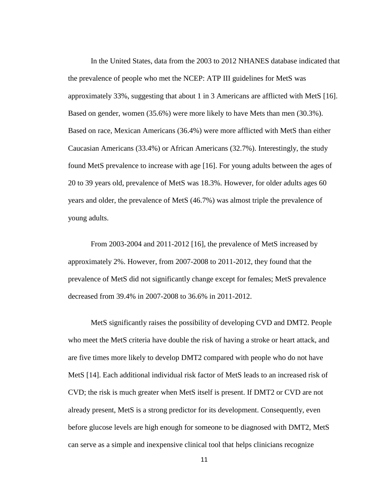In the United States, data from the 2003 to 2012 NHANES database indicated that the prevalence of people who met the NCEP: ATP III guidelines for MetS was approximately 33%, suggesting that about 1 in 3 Americans are afflicted with MetS [16]. Based on gender, women (35.6%) were more likely to have Mets than men (30.3%). Based on race, Mexican Americans (36.4%) were more afflicted with MetS than either Caucasian Americans (33.4%) or African Americans (32.7%). Interestingly, the study found MetS prevalence to increase with age [16]. For young adults between the ages of 20 to 39 years old, prevalence of MetS was 18.3%. However, for older adults ages 60 years and older, the prevalence of MetS (46.7%) was almost triple the prevalence of young adults.

From 2003-2004 and 2011-2012 [16], the prevalence of MetS increased by approximately 2%. However, from 2007-2008 to 2011-2012, they found that the prevalence of MetS did not significantly change except for females; MetS prevalence decreased from 39.4% in 2007-2008 to 36.6% in 2011-2012.

MetS significantly raises the possibility of developing CVD and DMT2. People who meet the MetS criteria have double the risk of having a stroke or heart attack, and are five times more likely to develop DMT2 compared with people who do not have MetS [14]. Each additional individual risk factor of MetS leads to an increased risk of CVD; the risk is much greater when MetS itself is present. If DMT2 or CVD are not already present, MetS is a strong predictor for its development. Consequently, even before glucose levels are high enough for someone to be diagnosed with DMT2, MetS can serve as a simple and inexpensive clinical tool that helps clinicians recognize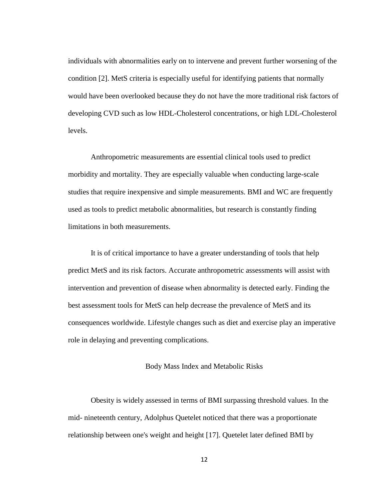individuals with abnormalities early on to intervene and prevent further worsening of the condition [2]. MetS criteria is especially useful for identifying patients that normally would have been overlooked because they do not have the more traditional risk factors of developing CVD such as low HDL-Cholesterol concentrations, or high LDL-Cholesterol levels.

Anthropometric measurements are essential clinical tools used to predict morbidity and mortality. They are especially valuable when conducting large-scale studies that require inexpensive and simple measurements. BMI and WC are frequently used as tools to predict metabolic abnormalities, but research is constantly finding limitations in both measurements.

It is of critical importance to have a greater understanding of tools that help predict MetS and its risk factors. Accurate anthropometric assessments will assist with intervention and prevention of disease when abnormality is detected early. Finding the best assessment tools for MetS can help decrease the prevalence of MetS and its consequences worldwide. Lifestyle changes such as diet and exercise play an imperative role in delaying and preventing complications.

#### Body Mass Index and Metabolic Risks

Obesity is widely assessed in terms of BMI surpassing threshold values. In the mid- nineteenth century, Adolphus Quetelet noticed that there was a proportionate relationship between one's weight and height [17]. Quetelet later defined BMI by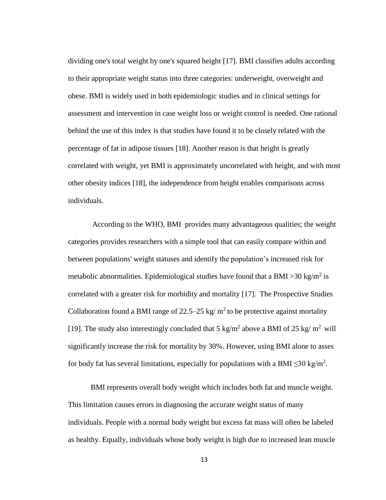dividing one's total weight by one's squared height [17]. BMI classifies adults according to their appropriate weight status into three categories: underweight, overweight and obese. BMI is widely used in both epidemiologic studies and in clinical settings for assessment and intervention in case weight loss or weight control is needed. One rational behind the use of this index is that studies have found it to be closely related with the percentage of fat in adipose tissues [18]. Another reason is that height is greatly correlated with weight, yet BMI is approximately uncorrelated with height, and with most other obesity indices [18], the independence from height enables comparisons across individuals.

According to the WHO, BMI provides many advantageous qualities; the weight categories provides researchers with a simple tool that can easily compare within and between populations' weight statuses and identify the population's increased risk for metabolic abnormalities. Epidemiological studies have found that a BMI > 30 kg/m<sup>2</sup> is correlated with a greater risk for morbidity and mortality [17]. The Prospective Studies Collaboration found a BMI range of 22.5–25 kg/  $m^2$  to be protective against mortality [19]. The study also interestingly concluded that 5 kg/m<sup>2</sup> above a BMI of 25 kg/m<sup>2</sup> will significantly increase the risk for mortality by 30%. However, using BMI alone to asses for body fat has several limitations, especially for populations with a BMI  $\leq$ 30 kg/m<sup>2</sup>.

BMI represents overall body weight which includes both fat and muscle weight. This limitation causes errors in diagnosing the accurate weight status of many individuals. People with a normal body weight but excess fat mass will often be labeled as healthy. Equally, individuals whose body weight is high due to increased lean muscle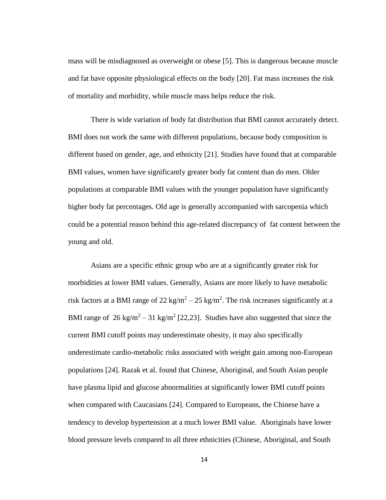mass will be misdiagnosed as overweight or obese [5]. This is dangerous because muscle and fat have opposite physiological effects on the body [20]. Fat mass increases the risk of mortality and morbidity, while muscle mass helps reduce the risk.

There is wide variation of body fat distribution that BMI cannot accurately detect. BMI does not work the same with different populations, because body composition is different based on gender, age, and ethnicity [21]. Studies have found that at comparable BMI values, women have significantly greater body fat content than do men. Older populations at comparable BMI values with the younger population have significantly higher body fat percentages. Old age is generally accompanied with sarcopenia which could be a potential reason behind this age-related discrepancy of fat content between the young and old.

Asians are a specific ethnic group who are at a significantly greater risk for morbidities at lower BMI values. Generally, Asians are more likely to have metabolic risk factors at a BMI range of 22 kg/m<sup>2</sup> – 25 kg/m<sup>2</sup>. The risk increases significantly at a BMI range of  $26 \text{ kg/m}^2 - 31 \text{ kg/m}^2$  [22,23]. Studies have also suggested that since the current BMI cutoff points may underestimate obesity, it may also specifically underestimate cardio-metabolic risks associated with weight gain among non-European populations [24]. Razak et al. found that Chinese, Aboriginal, and South Asian people have plasma lipid and glucose abnormalities at significantly lower BMI cutoff points when compared with Caucasians [24]. Compared to Europeans, the Chinese have a tendency to develop hypertension at a much lower BMI value. Aboriginals have lower blood pressure levels compared to all three ethnicities (Chinese, Aboriginal, and South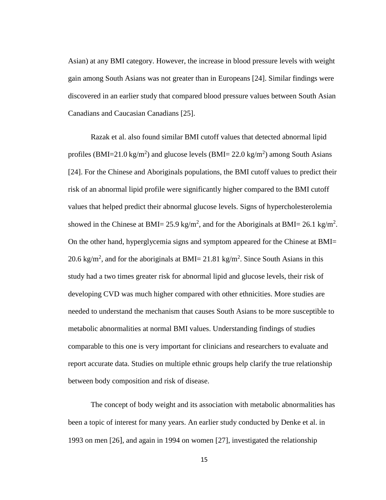Asian) at any BMI category. However, the increase in blood pressure levels with weight gain among South Asians was not greater than in Europeans [24]. Similar findings were discovered in an earlier study that compared blood pressure values between South Asian Canadians and Caucasian Canadians [25].

Razak et al. also found similar BMI cutoff values that detected abnormal lipid profiles (BMI=21.0 kg/m<sup>2</sup>) and glucose levels (BMI= 22.0 kg/m<sup>2</sup>) among South Asians [24]. For the Chinese and Aboriginals populations, the BMI cutoff values to predict their risk of an abnormal lipid profile were significantly higher compared to the BMI cutoff values that helped predict their abnormal glucose levels. Signs of hypercholesterolemia showed in the Chinese at BMI= 25.9 kg/m<sup>2</sup>, and for the Aboriginals at BMI= 26.1 kg/m<sup>2</sup>. On the other hand, hyperglycemia signs and symptom appeared for the Chinese at BMI= 20.6 kg/m<sup>2</sup>, and for the aboriginals at BMI= 21.81 kg/m<sup>2</sup>. Since South Asians in this study had a two times greater risk for abnormal lipid and glucose levels, their risk of developing CVD was much higher compared with other ethnicities. More studies are needed to understand the mechanism that causes South Asians to be more susceptible to metabolic abnormalities at normal BMI values. Understanding findings of studies comparable to this one is very important for clinicians and researchers to evaluate and report accurate data. Studies on multiple ethnic groups help clarify the true relationship between body composition and risk of disease.

The concept of body weight and its association with metabolic abnormalities has been a topic of interest for many years. An earlier study conducted by Denke et al. in 1993 on men [26], and again in 1994 on women [27], investigated the relationship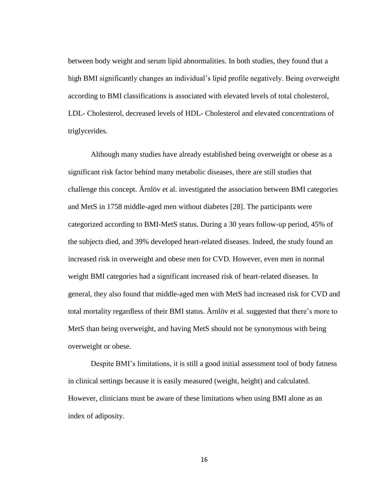between body weight and serum lipid abnormalities. In both studies, they found that a high BMI significantly changes an individual's lipid profile negatively. Being overweight according to BMI classifications is associated with elevated levels of total cholesterol, LDL- Cholesterol, decreased levels of HDL- Cholesterol and elevated concentrations of triglycerides.

Although many studies have already established being overweight or obese as a significant risk factor behind many metabolic diseases, there are still studies that challenge this concept. Ärnlöv et al. investigated the association between BMI categories and MetS in 1758 middle-aged men without diabetes [28]. The participants were categorized according to BMI-MetS status. During a 30 years follow-up period, 45% of the subjects died, and 39% developed heart-related diseases. Indeed, the study found an increased risk in overweight and obese men for CVD. However, even men in normal weight BMI categories had a significant increased risk of heart-related diseases. In general, they also found that middle-aged men with MetS had increased risk for CVD and total mortality regardless of their BMI status. Ärnlöv et al. suggested that there's more to MetS than being overweight, and having MetS should not be synonymous with being overweight or obese.

Despite BMI's limitations, it is still a good initial assessment tool of body fatness in clinical settings because it is easily measured (weight, height) and calculated. However, clinicians must be aware of these limitations when using BMI alone as an index of adiposity.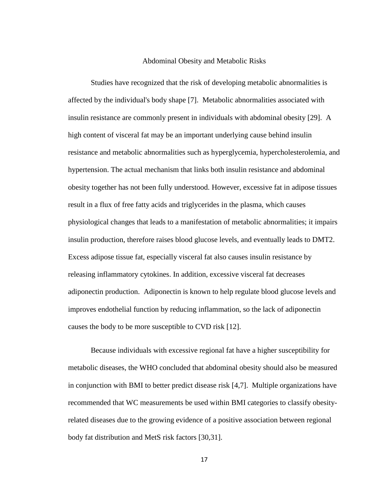#### Abdominal Obesity and Metabolic Risks

Studies have recognized that the risk of developing metabolic abnormalities is affected by the individual's body shape [7]. Metabolic abnormalities associated with insulin resistance are commonly present in individuals with abdominal obesity [29]. A high content of visceral fat may be an important underlying cause behind insulin resistance and metabolic abnormalities such as hyperglycemia, hypercholesterolemia, and hypertension. The actual mechanism that links both insulin resistance and abdominal obesity together has not been fully understood. However, excessive fat in adipose tissues result in a flux of free fatty acids and triglycerides in the plasma, which causes physiological changes that leads to a manifestation of metabolic abnormalities; it impairs insulin production, therefore raises blood glucose levels, and eventually leads to DMT2. Excess adipose tissue fat, especially visceral fat also causes insulin resistance by releasing inflammatory cytokines. In addition, excessive visceral fat decreases adiponectin production. Adiponectin is known to help regulate blood glucose levels and improves endothelial function by reducing inflammation, so the lack of adiponectin causes the body to be more susceptible to CVD risk [12].

Because individuals with excessive regional fat have a higher susceptibility for metabolic diseases, the WHO concluded that abdominal obesity should also be measured in conjunction with BMI to better predict disease risk [4,7]. Multiple organizations have recommended that WC measurements be used within BMI categories to classify obesityrelated diseases due to the growing evidence of a positive association between regional body fat distribution and MetS risk factors [30,31].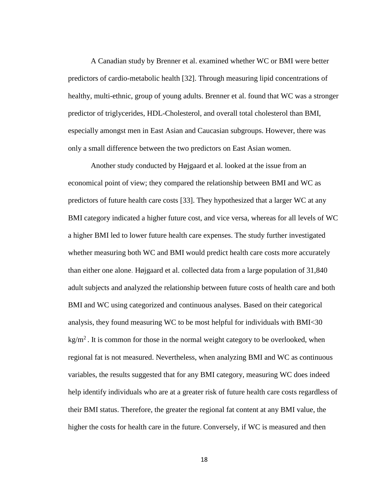A Canadian study by Brenner et al. examined whether WC or BMI were better predictors of cardio-metabolic health [32]. Through measuring lipid concentrations of healthy, multi-ethnic, group of young adults. Brenner et al. found that WC was a stronger predictor of triglycerides, HDL-Cholesterol, and overall total cholesterol than BMI, especially amongst men in East Asian and Caucasian subgroups. However, there was only a small difference between the two predictors on East Asian women.

Another study conducted by Højgaard et al. looked at the issue from an economical point of view; they compared the relationship between BMI and WC as predictors of future health care costs [33]. They hypothesized that a larger WC at any BMI category indicated a higher future cost, and vice versa, whereas for all levels of WC a higher BMI led to lower future health care expenses. The study further investigated whether measuring both WC and BMI would predict health care costs more accurately than either one alone. Højgaard et al. collected data from a large population of 31,840 adult subjects and analyzed the relationship between future costs of health care and both BMI and WC using categorized and continuous analyses. Based on their categorical analysis, they found measuring WC to be most helpful for individuals with BMI<30 kg/m<sup>2</sup>. It is common for those in the normal weight category to be overlooked, when regional fat is not measured. Nevertheless, when analyzing BMI and WC as continuous variables, the results suggested that for any BMI category, measuring WC does indeed help identify individuals who are at a greater risk of future health care costs regardless of their BMI status. Therefore, the greater the regional fat content at any BMI value, the higher the costs for health care in the future. Conversely, if WC is measured and then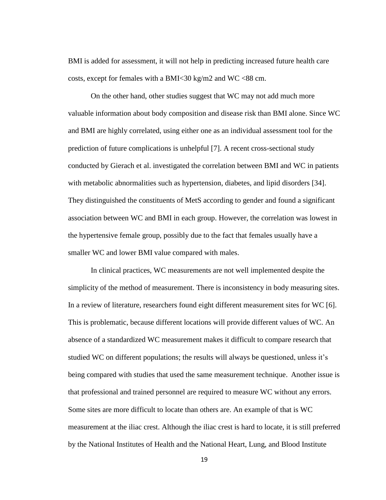BMI is added for assessment, it will not help in predicting increased future health care costs, except for females with a BMI $<30$  kg/m2 and WC  $<88$  cm.

On the other hand, other studies suggest that WC may not add much more valuable information about body composition and disease risk than BMI alone. Since WC and BMI are highly correlated, using either one as an individual assessment tool for the prediction of future complications is unhelpful [7]. A recent cross-sectional study conducted by Gierach et al. investigated the correlation between BMI and WC in patients with metabolic abnormalities such as hypertension, diabetes, and lipid disorders [34]. They distinguished the constituents of MetS according to gender and found a significant association between WC and BMI in each group. However, the correlation was lowest in the hypertensive female group, possibly due to the fact that females usually have a smaller WC and lower BMI value compared with males.

In clinical practices, WC measurements are not well implemented despite the simplicity of the method of measurement. There is inconsistency in body measuring sites. In a review of literature, researchers found eight different measurement sites for WC [6]. This is problematic, because different locations will provide different values of WC. An absence of a standardized WC measurement makes it difficult to compare research that studied WC on different populations; the results will always be questioned, unless it's being compared with studies that used the same measurement technique. Another issue is that professional and trained personnel are required to measure WC without any errors. Some sites are more difficult to locate than others are. An example of that is WC measurement at the iliac crest. Although the iliac crest is hard to locate, it is still preferred by the National Institutes of Health and the National Heart, Lung, and Blood Institute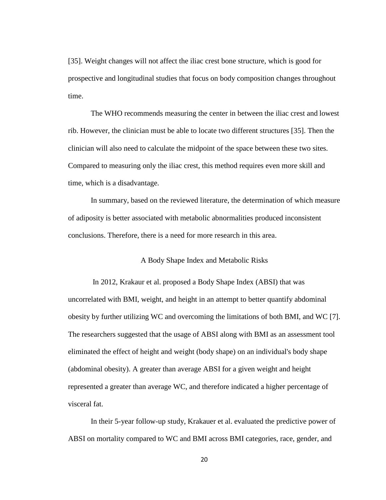[35]. Weight changes will not affect the iliac crest bone structure, which is good for prospective and longitudinal studies that focus on body composition changes throughout time.

The WHO recommends measuring the center in between the iliac crest and lowest rib. However, the clinician must be able to locate two different structures [35]. Then the clinician will also need to calculate the midpoint of the space between these two sites. Compared to measuring only the iliac crest, this method requires even more skill and time, which is a disadvantage.

In summary, based on the reviewed literature, the determination of which measure of adiposity is better associated with metabolic abnormalities produced inconsistent conclusions. Therefore, there is a need for more research in this area.

## A Body Shape Index and Metabolic Risks

In 2012, Krakaur et al. proposed a Body Shape Index (ABSI) that was uncorrelated with BMI, weight, and height in an attempt to better quantify abdominal obesity by further utilizing WC and overcoming the limitations of both BMI, and WC [7]. The researchers suggested that the usage of ABSI along with BMI as an assessment tool eliminated the effect of height and weight (body shape) on an individual's body shape (abdominal obesity). A greater than average ABSI for a given weight and height represented a greater than average WC, and therefore indicated a higher percentage of visceral fat.

In their 5-year follow-up study, Krakauer et al. evaluated the predictive power of ABSI on mortality compared to WC and BMI across BMI categories, race, gender, and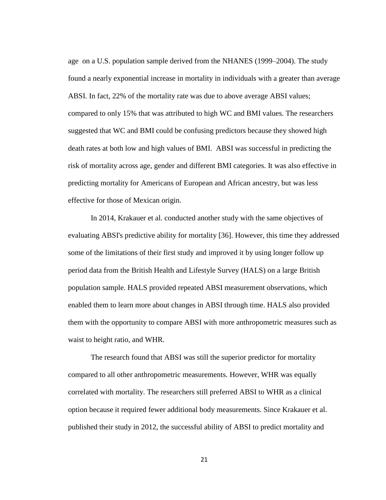age on a U.S. population sample derived from the NHANES (1999–2004). The study found a nearly exponential increase in mortality in individuals with a greater than average ABSI. In fact, 22% of the mortality rate was due to above average ABSI values; compared to only 15% that was attributed to high WC and BMI values. The researchers suggested that WC and BMI could be confusing predictors because they showed high death rates at both low and high values of BMI. ABSI was successful in predicting the risk of mortality across age, gender and different BMI categories. It was also effective in predicting mortality for Americans of European and African ancestry, but was less effective for those of Mexican origin.

In 2014, Krakauer et al. conducted another study with the same objectives of evaluating ABSI's predictive ability for mortality [36]. However, this time they addressed some of the limitations of their first study and improved it by using longer follow up period data from the British Health and Lifestyle Survey (HALS) on a large British population sample. HALS provided repeated ABSI measurement observations, which enabled them to learn more about changes in ABSI through time. HALS also provided them with the opportunity to compare ABSI with more anthropometric measures such as waist to height ratio, and WHR.

The research found that ABSI was still the superior predictor for mortality compared to all other anthropometric measurements. However, WHR was equally correlated with mortality. The researchers still preferred ABSI to WHR as a clinical option because it required fewer additional body measurements. Since Krakauer et al. published their study in 2012, the successful ability of ABSI to predict mortality and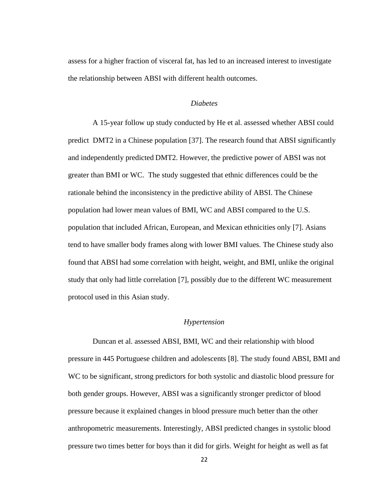assess for a higher fraction of visceral fat, has led to an increased interest to investigate the relationship between ABSI with different health outcomes.

## *Diabetes*

A 15-year follow up study conducted by He et al. assessed whether ABSI could predict DMT2 in a Chinese population [37]. The research found that ABSI significantly and independently predicted DMT2. However, the predictive power of ABSI was not greater than BMI or WC. The study suggested that ethnic differences could be the rationale behind the inconsistency in the predictive ability of ABSI. The Chinese population had lower mean values of BMI, WC and ABSI compared to the U.S. population that included African, European, and Mexican ethnicities only [7]. Asians tend to have smaller body frames along with lower BMI values. The Chinese study also found that ABSI had some correlation with height, weight, and BMI, unlike the original study that only had little correlation [7], possibly due to the different WC measurement protocol used in this Asian study.

#### *Hypertension*

Duncan et al. assessed ABSI, BMI, WC and their relationship with blood pressure in 445 Portuguese children and adolescents [8]. The study found ABSI, BMI and WC to be significant, strong predictors for both systolic and diastolic blood pressure for both gender groups. However, ABSI was a significantly stronger predictor of blood pressure because it explained changes in blood pressure much better than the other anthropometric measurements. Interestingly, ABSI predicted changes in systolic blood pressure two times better for boys than it did for girls. Weight for height as well as fat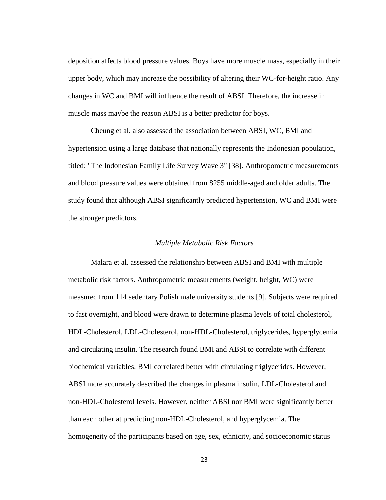deposition affects blood pressure values. Boys have more muscle mass, especially in their upper body, which may increase the possibility of altering their WC-for-height ratio. Any changes in WC and BMI will influence the result of ABSI. Therefore, the increase in muscle mass maybe the reason ABSI is a better predictor for boys.

Cheung et al. also assessed the association between ABSI, WC, BMI and hypertension using a large database that nationally represents the Indonesian population, titled: "The Indonesian Family Life Survey Wave 3" [38]. Anthropometric measurements and blood pressure values were obtained from 8255 middle-aged and older adults. The study found that although ABSI significantly predicted hypertension, WC and BMI were the stronger predictors.

## *Multiple Metabolic Risk Factors*

Malara et al. assessed the relationship between ABSI and BMI with multiple metabolic risk factors. Anthropometric measurements (weight, height, WC) were measured from 114 sedentary Polish male university students [9]. Subjects were required to fast overnight, and blood were drawn to determine plasma levels of total cholesterol, HDL-Cholesterol, LDL-Cholesterol, non-HDL-Cholesterol, triglycerides, hyperglycemia and circulating insulin. The research found BMI and ABSI to correlate with different biochemical variables. BMI correlated better with circulating triglycerides. However, ABSI more accurately described the changes in plasma insulin, LDL-Cholesterol and non-HDL-Cholesterol levels. However, neither ABSI nor BMI were significantly better than each other at predicting non-HDL-Cholesterol, and hyperglycemia. The homogeneity of the participants based on age, sex, ethnicity, and socioeconomic status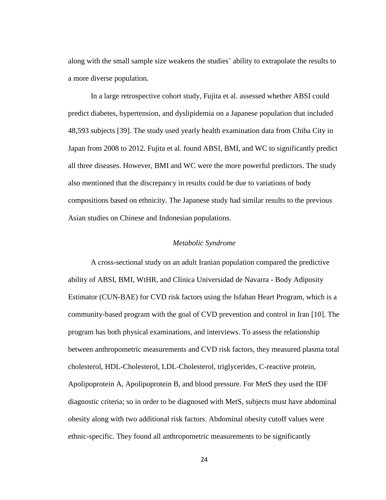along with the small sample size weakens the studies' ability to extrapolate the results to a more diverse population.

In a large retrospective cohort study, Fujita et al. assessed whether ABSI could predict diabetes, hypertension, and dyslipidemia on a Japanese population that included 48,593 subjects [39]. The study used yearly health examination data from Chiba City in Japan from 2008 to 2012. Fujita et al. found ABSI, BMI, and WC to significantly predict all three diseases. However, BMI and WC were the more powerful predictors. The study also mentioned that the discrepancy in results could be due to variations of body compositions based on ethnicity. The Japanese study had similar results to the previous Asian studies on Chinese and Indonesian populations.

## *Metabolic Syndrome*

A cross-sectional study on an adult Iranian population compared the predictive ability of ABSI, BMI, WtHR, and Clínica Universidad de Navarra - Body Adiposity Estimator (CUN-BAE) for CVD risk factors using the Isfahan Heart Program, which is a community-based program with the goal of CVD prevention and control in Iran [10]. The program has both physical examinations, and interviews. To assess the relationship between anthropometric measurements and CVD risk factors, they measured plasma total cholesterol, HDL-Cholesterol, LDL-Cholesterol, triglycerides, C-reactive protein, Apolipoprotein A, Apolipoprotein B, and blood pressure. For MetS they used the IDF diagnostic criteria; so in order to be diagnosed with MetS, subjects must have abdominal obesity along with two additional risk factors. Abdominal obesity cutoff values were ethnic-specific. They found all anthropometric measurements to be significantly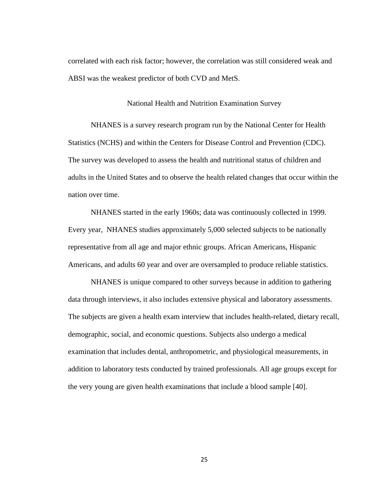correlated with each risk factor; however, the correlation was still considered weak and ABSI was the weakest predictor of both CVD and MetS.

National Health and Nutrition Examination Survey

NHANES is a survey research program run by the National Center for Health Statistics (NCHS) and within the Centers for Disease Control and Prevention (CDC). The survey was developed to assess the health and nutritional status of children and adults in the United States and to observe the health related changes that occur within the nation over time.

NHANES started in the early 1960s; data was continuously collected in 1999. Every year, NHANES studies approximately 5,000 selected subjects to be nationally representative from all age and major ethnic groups. African Americans, Hispanic Americans, and adults 60 year and over are oversampled to produce reliable statistics.

NHANES is unique compared to other surveys because in addition to gathering data through interviews, it also includes extensive physical and laboratory assessments. The subjects are given a health exam interview that includes health-related, dietary recall, demographic, social, and economic questions. Subjects also undergo a medical examination that includes dental, anthropometric, and physiological measurements, in addition to laboratory tests conducted by trained professionals. All age groups except for the very young are given health examinations that include a blood sample [40].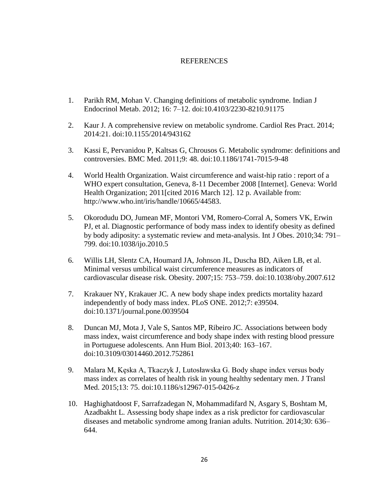## REFERENCES

- 1. Parikh RM, Mohan V. Changing definitions of metabolic syndrome. Indian J Endocrinol Metab. 2012; 16: 7–12. doi:10.4103/2230-8210.91175
- 2. Kaur J. A comprehensive review on metabolic syndrome. Cardiol Res Pract. 2014; 2014:21. doi:10.1155/2014/943162
- 3. Kassi E, Pervanidou P, Kaltsas G, Chrousos G. Metabolic syndrome: definitions and controversies. BMC Med. 2011;9: 48. doi:10.1186/1741-7015-9-48
- 4. World Health Organization. Waist circumference and waist-hip ratio : report of a WHO expert consultation, Geneva, 8-11 December 2008 [Internet]. Geneva: World Health Organization; 2011 [cited 2016 March 12]. 12 p. Available from: http://www.who.int/iris/handle/10665/44583.
- 5. Okorodudu DO, Jumean MF, Montori VM, Romero-Corral A, Somers VK, Erwin PJ, et al. Diagnostic performance of body mass index to identify obesity as defined by body adiposity: a systematic review and meta-analysis. Int J Obes. 2010;34: 791– 799. doi:10.1038/ijo.2010.5
- 6. Willis LH, Slentz CA, Houmard JA, Johnson JL, Duscha BD, Aiken LB, et al. Minimal versus umbilical waist circumference measures as indicators of cardiovascular disease risk. Obesity. 2007;15: 753–759. doi:10.1038/oby.2007.612
- 7. Krakauer NY, Krakauer JC. A new body shape index predicts mortality hazard independently of body mass index. PLoS ONE. 2012;7: e39504. doi:10.1371/journal.pone.0039504
- 8. Duncan MJ, Mota J, Vale S, Santos MP, Ribeiro JC. Associations between body mass index, waist circumference and body shape index with resting blood pressure in Portuguese adolescents. Ann Hum Biol. 2013;40: 163–167. doi:10.3109/03014460.2012.752861
- 9. Malara M, Kęska A, Tkaczyk J, Lutosławska G. Body shape index versus body mass index as correlates of health risk in young healthy sedentary men. J Transl Med. 2015;13: 75. doi:10.1186/s12967-015-0426-z
- 10. Haghighatdoost F, Sarrafzadegan N, Mohammadifard N, Asgary S, Boshtam M, Azadbakht L. Assessing body shape index as a risk predictor for cardiovascular diseases and metabolic syndrome among Iranian adults. Nutrition. 2014;30: 636– 644.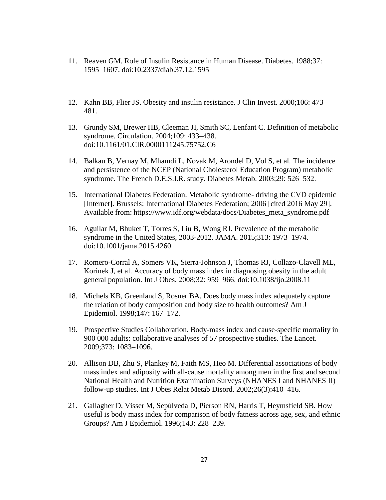- 11. Reaven GM. Role of Insulin Resistance in Human Disease. Diabetes. 1988;37: 1595–1607. doi:10.2337/diab.37.12.1595
- 12. Kahn BB, Flier JS. Obesity and insulin resistance. J Clin Invest. 2000;106: 473– 481.
- 13. Grundy SM, Brewer HB, Cleeman JI, Smith SC, Lenfant C. Definition of metabolic syndrome. Circulation. 2004;109: 433–438. doi:10.1161/01.CIR.0000111245.75752.C6
- 14. Balkau B, Vernay M, Mhamdi L, Novak M, Arondel D, Vol S, et al. The incidence and persistence of the NCEP (National Cholesterol Education Program) metabolic syndrome. The French D.E.S.I.R. study. Diabetes Metab. 2003;29: 526–532.
- 15. International Diabetes Federation. Metabolic syndrome- driving the CVD epidemic [Internet]. Brussels: International Diabetes Federation; 2006 [cited 2016 May 29]. Available from: https://www.idf.org/webdata/docs/Diabetes\_meta\_syndrome.pdf
- 16. Aguilar M, Bhuket T, Torres S, Liu B, Wong RJ. Prevalence of the metabolic syndrome in the United States, 2003-2012. JAMA. 2015;313: 1973–1974. doi:10.1001/jama.2015.4260
- 17. Romero-Corral A, Somers VK, Sierra-Johnson J, Thomas RJ, Collazo-Clavell ML, Korinek J, et al. Accuracy of body mass index in diagnosing obesity in the adult general population. Int J Obes. 2008;32: 959–966. doi:10.1038/ijo.2008.11
- 18. Michels KB, Greenland S, Rosner BA. Does body mass index adequately capture the relation of body composition and body size to health outcomes? Am J Epidemiol. 1998;147: 167–172.
- 19. Prospective Studies Collaboration. Body-mass index and cause-specific mortality in 900 000 adults: collaborative analyses of 57 prospective studies. The Lancet. 2009;373: 1083–1096.
- 20. Allison DB, Zhu S, Plankey M, Faith MS, Heo M. Differential associations of body mass index and adiposity with all-cause mortality among men in the first and second National Health and Nutrition Examination Surveys (NHANES I and NHANES II) follow-up studies. Int J Obes Relat Metab Disord. 2002;26(3):410–416.
- 21. Gallagher D, Visser M, Sepúlveda D, Pierson RN, Harris T, Heymsfield SB. How useful is body mass index for comparison of body fatness across age, sex, and ethnic Groups? Am J Epidemiol. 1996;143: 228–239.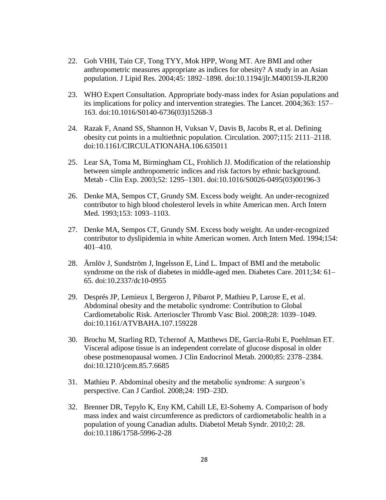- 22. Goh VHH, Tain CF, Tong TYY, Mok HPP, Wong MT. Are BMI and other anthropometric measures appropriate as indices for obesity? A study in an Asian population. J Lipid Res. 2004;45: 1892–1898. doi:10.1194/jlr.M400159-JLR200
- 23. WHO Expert Consultation. Appropriate body-mass index for Asian populations and its implications for policy and intervention strategies. The Lancet. 2004;363: 157– 163. doi:10.1016/S0140-6736(03)15268-3
- 24. Razak F, Anand SS, Shannon H, Vuksan V, Davis B, Jacobs R, et al. Defining obesity cut points in a multiethnic population. Circulation. 2007;115: 2111–2118. doi:10.1161/CIRCULATIONAHA.106.635011
- 25. Lear SA, Toma M, Birmingham CL, Frohlich JJ. Modification of the relationship between simple anthropometric indices and risk factors by ethnic background. Metab - Clin Exp. 2003;52: 1295–1301. doi:10.1016/S0026-0495(03)00196-3
- 26. Denke MA, Sempos CT, Grundy SM. Excess body weight. An under-recognized contributor to high blood cholesterol levels in white American men. Arch Intern Med. 1993;153: 1093–1103.
- 27. Denke MA, Sempos CT, Grundy SM. Excess body weight. An under-recognized contributor to dyslipidemia in white American women. Arch Intern Med. 1994;154: 401–410.
- 28. Ärnlöv J, Sundström J, Ingelsson E, Lind L. Impact of BMI and the metabolic syndrome on the risk of diabetes in middle-aged men. Diabetes Care. 2011;34: 61– 65. doi:10.2337/dc10-0955
- 29. Després JP, Lemieux I, Bergeron J, Pibarot P, Mathieu P, Larose E, et al. Abdominal obesity and the metabolic syndrome: Contribution to Global Cardiometabolic Risk. Arterioscler Thromb Vasc Biol. 2008;28: 1039–1049. doi:10.1161/ATVBAHA.107.159228
- 30. Brochu M, Starling RD, Tchernof A, Matthews DE, Garcia-Rubi E, Poehlman ET. Visceral adipose tissue is an independent correlate of glucose disposal in older obese postmenopausal women. J Clin Endocrinol Metab. 2000;85: 2378–2384. doi:10.1210/jcem.85.7.6685
- 31. Mathieu P. Abdominal obesity and the metabolic syndrome: A surgeon's perspective. Can J Cardiol. 2008;24: 19D–23D.
- 32. Brenner DR, Tepylo K, Eny KM, Cahill LE, El-Sohemy A. Comparison of body mass index and waist circumference as predictors of cardiometabolic health in a population of young Canadian adults. Diabetol Metab Syndr. 2010;2: 28. doi:10.1186/1758-5996-2-28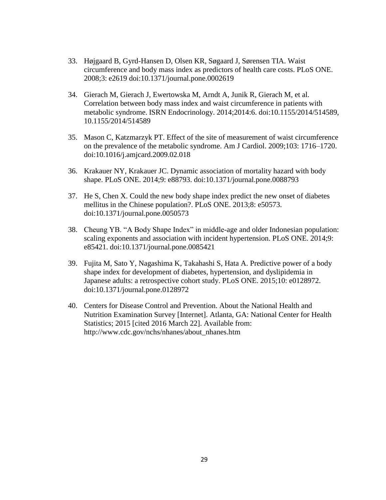- 33. Højgaard B, Gyrd-Hansen D, Olsen KR, Søgaard J, Sørensen TIA. Waist circumference and body mass index as predictors of health care costs. PLoS ONE. 2008;3: e2619 doi:10.1371/journal.pone.0002619
- 34. Gierach M, Gierach J, Ewertowska M, Arndt A, Junik R, Gierach M, et al. Correlation between body mass index and waist circumference in patients with metabolic syndrome. ISRN Endocrinology. 2014;2014:6. doi:10.1155/2014/514589, 10.1155/2014/514589
- 35. Mason C, Katzmarzyk PT. Effect of the site of measurement of waist circumference on the prevalence of the metabolic syndrome. Am J Cardiol. 2009;103: 1716–1720. doi:10.1016/j.amjcard.2009.02.018
- 36. Krakauer NY, Krakauer JC. Dynamic association of mortality hazard with body shape. PLoS ONE. 2014;9: e88793. doi:10.1371/journal.pone.0088793
- 37. He S, Chen X. Could the new body shape index predict the new onset of diabetes mellitus in the Chinese population?. PLoS ONE. 2013;8: e50573. doi:10.1371/journal.pone.0050573
- 38. Cheung YB. "A Body Shape Index" in middle-age and older Indonesian population: scaling exponents and association with incident hypertension. PLoS ONE. 2014;9: e85421. doi:10.1371/journal.pone.0085421
- 39. Fujita M, Sato Y, Nagashima K, Takahashi S, Hata A. Predictive power of a body shape index for development of diabetes, hypertension, and dyslipidemia in Japanese adults: a retrospective cohort study. PLoS ONE. 2015;10: e0128972. doi:10.1371/journal.pone.0128972
- 40. Centers for Disease Control and Prevention. About the National Health and Nutrition Examination Survey [Internet]. Atlanta, GA: National Center for Health Statistics; 2015 [cited 2016 March 22]. Available from: http://www.cdc.gov/nchs/nhanes/about\_nhanes.htm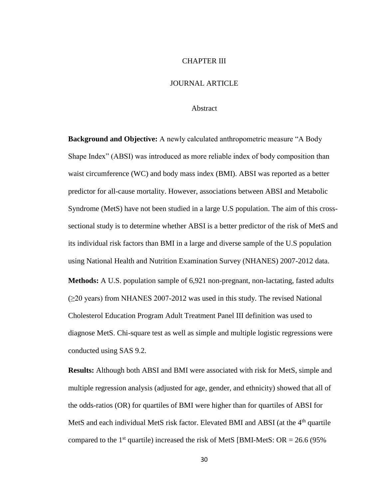#### CHAPTER III

## JOURNAL ARTICLE

## Abstract

**Background and Objective:** A newly calculated anthropometric measure "A Body Shape Index" (ABSI) was introduced as more reliable index of body composition than waist circumference (WC) and body mass index (BMI). ABSI was reported as a better predictor for all-cause mortality. However, associations between ABSI and Metabolic Syndrome (MetS) have not been studied in a large U.S population. The aim of this crosssectional study is to determine whether ABSI is a better predictor of the risk of MetS and its individual risk factors than BMI in a large and diverse sample of the U.S population using National Health and Nutrition Examination Survey (NHANES) 2007-2012 data.

**Methods:** A U.S. population sample of 6,921 non-pregnant, non-lactating, fasted adults (≥20 years) from NHANES 2007-2012 was used in this study. The revised National Cholesterol Education Program Adult Treatment Panel III definition was used to diagnose MetS. Chi-square test as well as simple and multiple logistic regressions were conducted using SAS 9.2.

**Results:** Although both ABSI and BMI were associated with risk for MetS, simple and multiple regression analysis (adjusted for age, gender, and ethnicity) showed that all of the odds-ratios (OR) for quartiles of BMI were higher than for quartiles of ABSI for MetS and each individual MetS risk factor. Elevated BMI and ABSI (at the  $4<sup>th</sup>$  quartile compared to the 1<sup>st</sup> quartile) increased the risk of MetS [BMI-MetS:  $OR = 26.6$  (95%)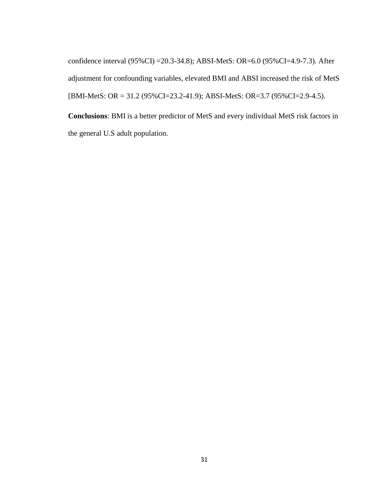confidence interval (95%CI) =20.3-34.8); ABSI-MetS: OR=6.0 (95%CI=4.9-7.3). After adjustment for confounding variables, elevated BMI and ABSI increased the risk of MetS [BMI-MetS: OR = 31.2 (95%CI=23.2-41.9); ABSI-MetS: OR=3.7 (95%CI=2.9-4.5).

**Conclusions**: BMI is a better predictor of MetS and every individual MetS risk factors in the general U.S adult population.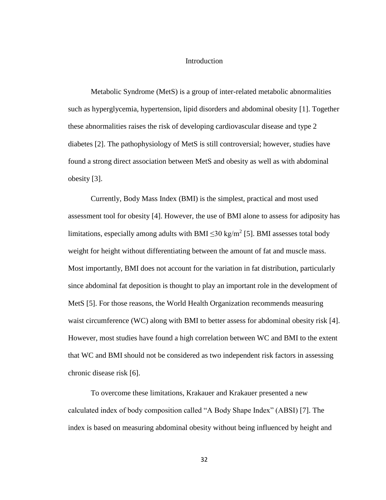## Introduction

Metabolic Syndrome (MetS) is a group of inter-related metabolic abnormalities such as hyperglycemia, hypertension, lipid disorders and abdominal obesity [1]. Together these abnormalities raises the risk of developing cardiovascular disease and type 2 diabetes [2]. The pathophysiology of MetS is still controversial; however, studies have found a strong direct association between MetS and obesity as well as with abdominal obesity [3].

Currently, Body Mass Index (BMI) is the simplest, practical and most used assessment tool for obesity [4]. However, the use of BMI alone to assess for adiposity has limitations, especially among adults with BMI  $\leq$ 30 kg/m<sup>2</sup> [5]. BMI assesses total body weight for height without differentiating between the amount of fat and muscle mass. Most importantly, BMI does not account for the variation in fat distribution, particularly since abdominal fat deposition is thought to play an important role in the development of MetS [5]. For those reasons, the World Health Organization recommends measuring waist circumference (WC) along with BMI to better assess for abdominal obesity risk [4]. However, most studies have found a high correlation between WC and BMI to the extent that WC and BMI should not be considered as two independent risk factors in assessing chronic disease risk [6].

To overcome these limitations, Krakauer and Krakauer presented a new calculated index of body composition called "A Body Shape Index" (ABSI) [7]. The index is based on measuring abdominal obesity without being influenced by height and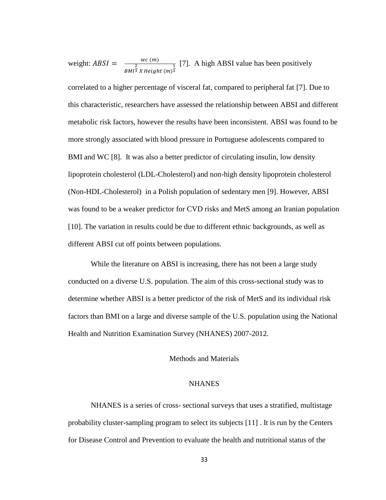weight:  $ABSI = \frac{wc(m)}{2}$  $BMI^{\tfrac{2}{3}}$  X Height  $(m)^{\tfrac{1}{3}}$ [7]. A high ABSI value has been positively

correlated to a higher percentage of visceral fat, compared to peripheral fat [7]. Due to this characteristic, researchers have assessed the relationship between ABSI and different metabolic risk factors, however the results have been inconsistent. ABSI was found to be more strongly associated with blood pressure in Portuguese adolescents compared to BMI and WC [8]. It was also a better predictor of circulating insulin, low density lipoprotein cholesterol (LDL-Cholesterol) and non-high density lipoprotein cholesterol (Non-HDL-Cholesterol) in a Polish population of sedentary men [9]. However, ABSI was found to be a weaker predictor for CVD risks and MetS among an Iranian population [10]. The variation in results could be due to different ethnic backgrounds, as well as different ABSI cut off points between populations.

While the literature on ABSI is increasing, there has not been a large study conducted on a diverse U.S. population. The aim of this cross-sectional study was to determine whether ABSI is a better predictor of the risk of MetS and its individual risk factors than BMI on a large and diverse sample of the U.S. population using the National Health and Nutrition Examination Survey (NHANES) 2007-2012.

## Methods and Materials

#### **NHANES**

NHANES is a series of cross- sectional surveys that uses a stratified, multistage probability cluster-sampling program to select its subjects [11] . It is run by the Centers for Disease Control and Prevention to evaluate the health and nutritional status of the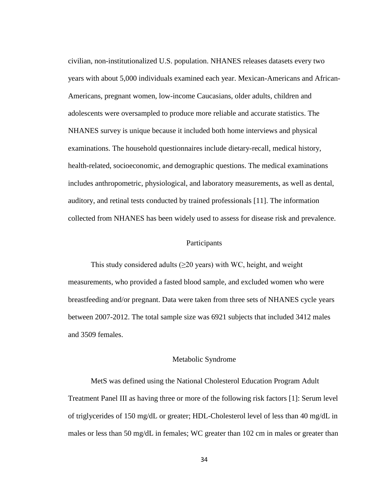civilian, non-institutionalized U.S. population. NHANES releases datasets every two years with about 5,000 individuals examined each year. Mexican-Americans and African-Americans, pregnant women, low-income Caucasians, older adults, children and adolescents were oversampled to produce more reliable and accurate statistics. The NHANES survey is unique because it included both home interviews and physical examinations. The household questionnaires include dietary-recall, medical history, health-related, socioeconomic, and demographic questions. The medical examinations includes anthropometric, physiological, and laboratory measurements, as well as dental, auditory, and retinal tests conducted by trained professionals [11]. The information collected from NHANES has been widely used to assess for disease risk and prevalence.

## Participants

This study considered adults (≥20 years) with WC, height, and weight measurements, who provided a fasted blood sample, and excluded women who were breastfeeding and/or pregnant. Data were taken from three sets of NHANES cycle years between 2007-2012. The total sample size was 6921 subjects that included 3412 males and 3509 females.

#### Metabolic Syndrome

MetS was defined using the National Cholesterol Education Program Adult Treatment Panel III as having three or more of the following risk factors [1]: Serum level of triglycerides of 150 mg/dL or greater; HDL-Cholesterol level of less than 40 mg/dL in males or less than 50 mg/dL in females; WC greater than 102 cm in males or greater than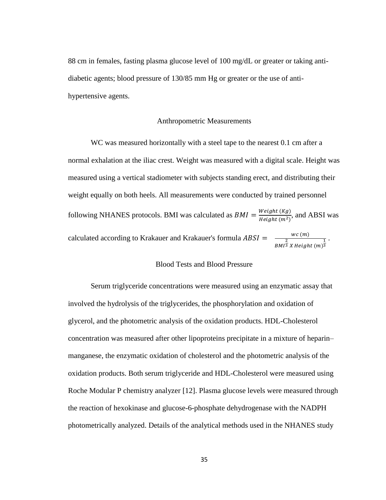88 cm in females, fasting plasma glucose level of 100 mg/dL or greater or taking antidiabetic agents; blood pressure of 130/85 mm Hg or greater or the use of antihypertensive agents.

## Anthropometric Measurements

WC was measured horizontally with a steel tape to the nearest 0.1 cm after a normal exhalation at the iliac crest. Weight was measured with a digital scale. Height was measured using a vertical stadiometer with subjects standing erect, and distributing their weight equally on both heels. All measurements were conducted by trained personnel following NHANES protocols. BMI was calculated as  $BMI = \frac{Weight(Kg)}{Height(m^2)}$  $\frac{W \text{equiv}(\mathbf{A}\text{y})}{\text{Height}(\text{m}^2)}$ , and ABSI was calculated according to Krakauer and Krakauer's formula  $ABSI = \frac{wc(m)}{2}$  $BMI^{\tfrac{2}{3}}$  X Height  $(m)^{\tfrac{1}{3}}$ .

# Blood Tests and Blood Pressure

Serum triglyceride concentrations were measured using an enzymatic assay that involved the hydrolysis of the triglycerides, the phosphorylation and oxidation of glycerol, and the photometric analysis of the oxidation products. HDL-Cholesterol concentration was measured after other lipoproteins precipitate in a mixture of heparin– manganese, the enzymatic oxidation of cholesterol and the photometric analysis of the oxidation products. Both serum triglyceride and HDL-Cholesterol were measured using Roche Modular P chemistry analyzer [12]. Plasma glucose levels were measured through the reaction of hexokinase and glucose-6-phosphate dehydrogenase with the NADPH photometrically analyzed. Details of the analytical methods used in the NHANES study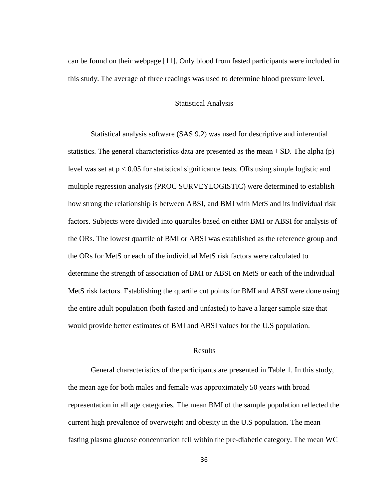can be found on their webpage [11]. Only blood from fasted participants were included in this study. The average of three readings was used to determine blood pressure level.

### Statistical Analysis

Statistical analysis software (SAS 9.2) was used for descriptive and inferential statistics. The general characteristics data are presented as the mean  $\pm$  SD. The alpha (p) level was set at p < 0.05 for statistical significance tests. ORs using simple logistic and multiple regression analysis (PROC SURVEYLOGISTIC) were determined to establish how strong the relationship is between ABSI, and BMI with MetS and its individual risk factors. Subjects were divided into quartiles based on either BMI or ABSI for analysis of the ORs. The lowest quartile of BMI or ABSI was established as the reference group and the ORs for MetS or each of the individual MetS risk factors were calculated to determine the strength of association of BMI or ABSI on MetS or each of the individual MetS risk factors. Establishing the quartile cut points for BMI and ABSI were done using the entire adult population (both fasted and unfasted) to have a larger sample size that would provide better estimates of BMI and ABSI values for the U.S population.

## Results

General characteristics of the participants are presented in Table 1. In this study, the mean age for both males and female was approximately 50 years with broad representation in all age categories. The mean BMI of the sample population reflected the current high prevalence of overweight and obesity in the U.S population. The mean fasting plasma glucose concentration fell within the pre-diabetic category. The mean WC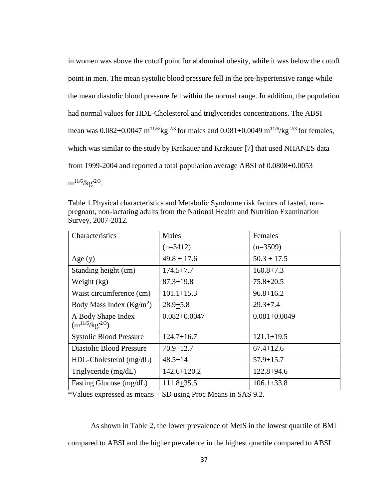in women was above the cutoff point for abdominal obesity, while it was below the cutoff point in men. The mean systolic blood pressure fell in the pre-hypertensive range while the mean diastolic blood pressure fell within the normal range. In addition, the population had normal values for HDL-Cholesterol and triglycerides concentrations. The ABSI mean was  $0.082+0.0047 \text{ m}^{11/6}/\text{kg}^{-2/3}$  for males and  $0.081+0.0049 \text{ m}^{11/6}/\text{kg}^{-2/3}$  for females, which was similar to the study by Krakauer and Krakauer [7] that used NHANES data from 1999-2004 and reported a total population average ABSI of 0.0808+0.0053  $\text{m}^{11/6}/\text{kg}^{-2/3}$ .

Table 1.Physical characteristics and Metabolic Syndrome risk factors of fasted, nonpregnant, non-lactating adults from the National Health and Nutrition Examination Survey, 2007-2012*.*

| Characteristics                              | Males            | Females          |
|----------------------------------------------|------------------|------------------|
|                                              | $(n=3412)$       | $(n=3509)$       |
| Age $(y)$                                    | $49.8 + 17.6$    | $50.3 \pm 17.5$  |
| Standing height (cm)                         | $174.5 + 7.7$    | $160.8 + 7.3$    |
| Weight (kg)                                  | $87.3 + 19.8$    | $75.8 + 20.5$    |
| Waist circumference (cm)                     | $101.1 + 15.3$   | $96.8 + 16.2$    |
| Body Mass Index $(Kg/m^2)$                   | $28.9 + 5.8$     | $29.3 + 7.4$     |
| A Body Shape Index<br>$(m^{11/6}/kg^{-2/3})$ | $0.082 + 0.0047$ | $0.081 + 0.0049$ |
| <b>Systolic Blood Pressure</b>               | $124.7 + 16.7$   | $121.1 + 19.5$   |
| Diastolic Blood Pressure                     | $70.9 + 12.7$    | $67.4 + 12.6$    |
| $HDL-Cholesterol$ (mg/dL)                    | $48.5 + 14$      | $57.9 + 15.7$    |
| Triglyceride (mg/dL)                         | $142.6 + 120.2$  | $122.8 + 94.6$   |
| Fasting Glucose (mg/dL)                      | $111.8 + 35.5$   | $106.1 + 33.8$   |

\*Values expressed as means + SD using Proc Means in SAS 9.2.

As shown in Table 2, the lower prevalence of MetS in the lowest quartile of BMI compared to ABSI and the higher prevalence in the highest quartile compared to ABSI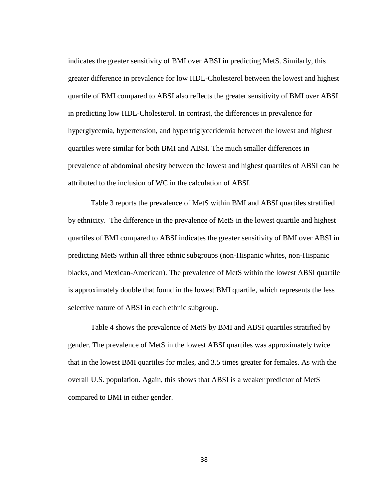indicates the greater sensitivity of BMI over ABSI in predicting MetS. Similarly, this greater difference in prevalence for low HDL-Cholesterol between the lowest and highest quartile of BMI compared to ABSI also reflects the greater sensitivity of BMI over ABSI in predicting low HDL-Cholesterol. In contrast, the differences in prevalence for hyperglycemia, hypertension, and hypertriglyceridemia between the lowest and highest quartiles were similar for both BMI and ABSI. The much smaller differences in prevalence of abdominal obesity between the lowest and highest quartiles of ABSI can be attributed to the inclusion of WC in the calculation of ABSI.

Table 3 reports the prevalence of MetS within BMI and ABSI quartiles stratified by ethnicity. The difference in the prevalence of MetS in the lowest quartile and highest quartiles of BMI compared to ABSI indicates the greater sensitivity of BMI over ABSI in predicting MetS within all three ethnic subgroups (non-Hispanic whites, non-Hispanic blacks, and Mexican-American). The prevalence of MetS within the lowest ABSI quartile is approximately double that found in the lowest BMI quartile, which represents the less selective nature of ABSI in each ethnic subgroup.

Table 4 shows the prevalence of MetS by BMI and ABSI quartiles stratified by gender. The prevalence of MetS in the lowest ABSI quartiles was approximately twice that in the lowest BMI quartiles for males, and 3.5 times greater for females. As with the overall U.S. population. Again, this shows that ABSI is a weaker predictor of MetS compared to BMI in either gender.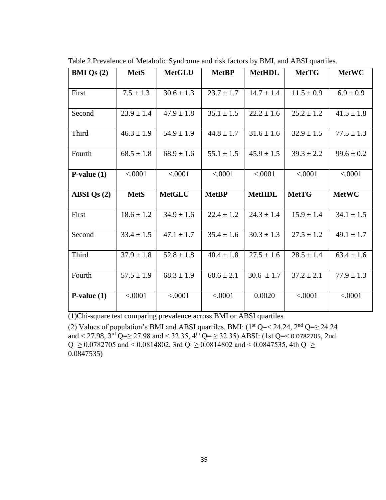| <b>BMI</b> Qs $(2)$ | <b>MetS</b>    | <b>MetGLU</b>  | <b>MetBP</b>   | <b>MetHDL</b>  | <b>MetTG</b>   | <b>MetWC</b>   |
|---------------------|----------------|----------------|----------------|----------------|----------------|----------------|
|                     |                |                |                |                |                |                |
| First               | $7.5 \pm 1.3$  | $30.6 \pm 1.3$ | $23.7 \pm 1.7$ | $14.7 \pm 1.4$ | $11.5 \pm 0.9$ | $6.9 \pm 0.9$  |
|                     |                |                |                |                |                |                |
| Second              | $23.9 \pm 1.4$ | $47.9 \pm 1.8$ | $35.1 \pm 1.5$ | $22.2 \pm 1.6$ | $25.2 \pm 1.2$ | $41.5 \pm 1.8$ |
|                     |                |                |                |                |                |                |
| Third               | $46.3 \pm 1.9$ | $54.9 \pm 1.9$ | $44.8 \pm 1.7$ | $31.6 \pm 1.6$ | $32.9 \pm 1.5$ | $77.5 \pm 1.3$ |
|                     |                |                |                |                |                |                |
| Fourth              | $68.5 \pm 1.8$ | $68.9 \pm 1.6$ | $55.1 \pm 1.5$ | $45.9 \pm 1.5$ | $39.3 \pm 2.2$ | $99.6 \pm 0.2$ |
|                     |                |                |                |                |                |                |
| $P-value(1)$        | < .0001        | < .0001        | < .0001        | < .0001        | < .0001        | < .0001        |
|                     |                |                |                |                |                |                |
|                     |                |                |                |                |                |                |
| $ABSI$ Qs $(2)$     | <b>MetS</b>    | <b>MetGLU</b>  | <b>MetBP</b>   | <b>MetHDL</b>  | <b>MetTG</b>   | <b>MetWC</b>   |
|                     |                |                |                |                |                |                |
| First               | $18.6 \pm 1.2$ | $34.9 \pm 1.6$ | $22.4 \pm 1.2$ | $24.3 \pm 1.4$ | $15.9 \pm 1.4$ | $34.1 \pm 1.5$ |
|                     |                |                |                |                |                |                |
| Second              | $33.4 \pm 1.5$ | $47.1 \pm 1.7$ | $35.4 \pm 1.6$ | $30.3 \pm 1.3$ | $27.5 \pm 1.2$ | $49.1 \pm 1.7$ |
|                     |                |                |                |                |                |                |
| Third               | $37.9 \pm 1.8$ | $52.8 \pm 1.8$ | $40.4 \pm 1.8$ | $27.5 \pm 1.6$ | $28.5 \pm 1.4$ | $63.4 \pm 1.6$ |
|                     |                |                |                |                |                |                |
| Fourth              | $57.5 \pm 1.9$ | $68.3 \pm 1.9$ | $60.6 \pm 2.1$ | $30.6 \pm 1.7$ | $37.2 \pm 2.1$ | $77.9 \pm 1.3$ |
|                     |                |                |                |                |                |                |
| $P-value(1)$        | < .0001        | < .0001        | < .0001        | 0.0020         | < .0001        | < .0001        |

Table 2.Prevalence of Metabolic Syndrome and risk factors by BMI, and ABSI quartiles.

(1)Chi-square test comparing prevalence across BMI or ABSI quartiles

(2) Values of population's BMI and ABSI quartiles. BMI:  $(1^{st} Q = < 24.24, 2^{nd} Q = \geq 24.24$ and < 27.98,  $3^{\text{rd}}$  Q=> 27.98 and < 32.35,  $4^{\text{th}}$  Q= ≥ 32.35) ABSI: (1st Q=< 0.0782705, 2nd Q= $\geq$  0.0782705 and < 0.0814802, 3rd Q= $\geq$  0.0814802 and < 0.0847535, 4th Q= $\geq$ 0.0847535)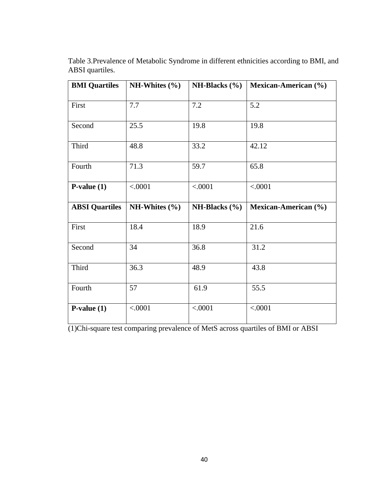| <b>BMI</b> Quartiles  | NH-Whites $(\% )$ | <b>NH-Blacks</b> $(\% )$ | <b>Mexican-American</b> (%) |
|-----------------------|-------------------|--------------------------|-----------------------------|
| First                 | 7.7               | 7.2                      | 5.2                         |
| Second                | 25.5              | 19.8                     | 19.8                        |
| Third                 | 48.8              | 33.2                     | 42.12                       |
| Fourth                | 71.3              | 59.7                     | 65.8                        |
| $P-value(1)$          | < .0001           | < .0001                  | < .0001                     |
|                       |                   |                          |                             |
| <b>ABSI</b> Quartiles | NH-Whites $(\% )$ | <b>NH-Blacks</b> $(\% )$ | Mexican-American (%)        |
| First                 | 18.4              | 18.9                     | 21.6                        |
| Second                | 34                | 36.8                     | 31.2                        |
| Third                 | 36.3              | 48.9                     | 43.8                        |
| Fourth                | 57                | 61.9                     | 55.5                        |

Table 3.Prevalence of Metabolic Syndrome in different ethnicities according to BMI, and ABSI quartiles.

(1)Chi-square test comparing prevalence of MetS across quartiles of BMI or ABSI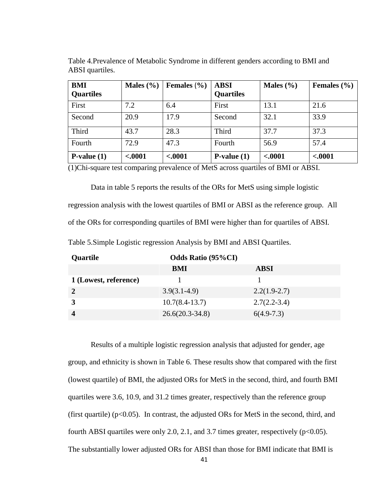| <b>BMI</b><br><b>Quartiles</b> | Males $(\% )$ | Females $(\% )$ | <b>ABSI</b><br><b>Quartiles</b> | Males $(\% )$ | Females $(\% )$ |
|--------------------------------|---------------|-----------------|---------------------------------|---------------|-----------------|
| First                          | 7.2           | 6.4             | First                           | 13.1          | 21.6            |
| Second                         | 20.9          | 17.9            | Second                          | 32.1          | 33.9            |
| Third                          | 43.7          | 28.3            | Third                           | 37.7          | 37.3            |
| Fourth                         | 72.9          | 47.3            | Fourth                          | 56.9          | 57.4            |
| $P-value(1)$                   | $-.0001$      | $-.0001$        | $P-value(1)$                    | $-.0001$      | $-.0001$        |

Table 4.Prevalence of Metabolic Syndrome in different genders according to BMI and ABSI quartiles.

(1)Chi-square test comparing prevalence of MetS across quartiles of BMI or ABSI.

Data in table 5 reports the results of the ORs for MetS using simple logistic regression analysis with the lowest quartiles of BMI or ABSI as the reference group. All of the ORs for corresponding quartiles of BMI were higher than for quartiles of ABSI.

| Table 5. Simple Logistic regression Analysis by BMI and ABSI Quartiles. |  |  |  |  |
|-------------------------------------------------------------------------|--|--|--|--|
|                                                                         |  |  |  |  |

| Quartile              | <b>Odds Ratio (95%CI)</b> |                |  |  |  |
|-----------------------|---------------------------|----------------|--|--|--|
|                       | BMI                       | <b>ABSI</b>    |  |  |  |
| 1 (Lowest, reference) |                           |                |  |  |  |
|                       | $3.9(3.1-4.9)$            | $2.2(1.9-2.7)$ |  |  |  |
|                       | $10.7(8.4-13.7)$          | $2.7(2.2-3.4)$ |  |  |  |
|                       | $26.6(20.3-34.8)$         | $6(4.9-7.3)$   |  |  |  |

Results of a multiple logistic regression analysis that adjusted for gender, age group, and ethnicity is shown in Table 6. These results show that compared with the first (lowest quartile) of BMI, the adjusted ORs for MetS in the second, third, and fourth BMI quartiles were 3.6, 10.9, and 31.2 times greater, respectively than the reference group (first quartile) ( $p<0.05$ ). In contrast, the adjusted ORs for MetS in the second, third, and fourth ABSI quartiles were only 2.0, 2.1, and 3.7 times greater, respectively  $(p<0.05)$ . The substantially lower adjusted ORs for ABSI than those for BMI indicate that BMI is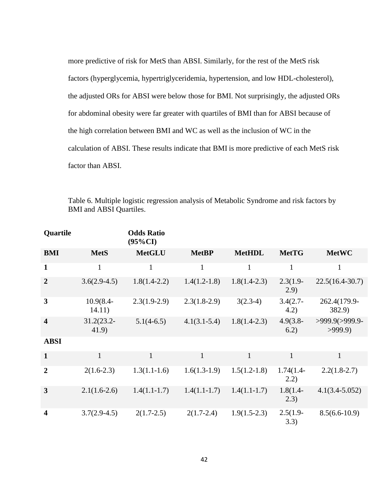more predictive of risk for MetS than ABSI. Similarly, for the rest of the MetS risk factors (hyperglycemia, hypertriglyceridemia, hypertension, and low HDL-cholesterol), the adjusted ORs for ABSI were below those for BMI. Not surprisingly, the adjusted ORs for abdominal obesity were far greater with quartiles of BMI than for ABSI because of the high correlation between BMI and WC as well as the inclusion of WC in the calculation of ABSI. These results indicate that BMI is more predictive of each MetS risk factor than ABSI.

| Quartile                |                        | <b>Odds Ratio</b><br>$(95\%CI)$ |                |                |                     |                          |
|-------------------------|------------------------|---------------------------------|----------------|----------------|---------------------|--------------------------|
| <b>BMI</b>              | <b>MetS</b>            | <b>MetGLU</b>                   | <b>MetBP</b>   | <b>MetHDL</b>  | <b>MetTG</b>        | <b>MetWC</b>             |
| $\mathbf{1}$            | $\mathbf{1}$           | $\mathbf{1}$                    | $\mathbf{1}$   | $\mathbf{1}$   | $\mathbf{1}$        | $\mathbf{1}$             |
| $\overline{2}$          | $3.6(2.9-4.5)$         | $1.8(1.4-2.2)$                  | $1.4(1.2-1.8)$ | $1.8(1.4-2.3)$ | $2.3(1.9-$<br>(2.9) | $22.5(16.4-30.7)$        |
| $\mathbf{3}$            | $10.9(8.4 -$<br>14.11) | $2.3(1.9-2.9)$                  | $2.3(1.8-2.9)$ | $3(2.3-4)$     | $3.4(2.7 -$<br>4.2) | 262.4(179.9-<br>382.9)   |
| $\overline{\mathbf{4}}$ | $31.2(23.2 -$<br>41.9) | $5.1(4-6.5)$                    | $4.1(3.1-5.4)$ | $1.8(1.4-2.3)$ | $4.9(3.8 -$<br>6.2) | >999.9(>999.9-<br>>999.9 |
| <b>ABSI</b>             |                        |                                 |                |                |                     |                          |
| $\mathbf{1}$            | $\mathbf{1}$           | $\mathbf{1}$                    | $\mathbf{1}$   | $\mathbf{1}$   | $\mathbf{1}$        | $\mathbf{1}$             |
| $\overline{2}$          | $2(1.6-2.3)$           | $1.3(1.1-1.6)$                  | $1.6(1.3-1.9)$ | $1.5(1.2-1.8)$ | $1.74(1.4-$<br>2.2) | $2.2(1.8-2.7)$           |
| 3                       | $2.1(1.6-2.6)$         | $1.4(1.1-1.7)$                  | $1.4(1.1-1.7)$ | $1.4(1.1-1.7)$ | $1.8(1.4-$<br>2.3)  | $4.1(3.4 - 5.052)$       |
| $\overline{\mathbf{4}}$ | $3.7(2.9-4.5)$         | $2(1.7-2.5)$                    | $2(1.7-2.4)$   | $1.9(1.5-2.3)$ | $2.5(1.9-$<br>3.3)  | $8.5(6.6 - 10.9)$        |

Table 6. Multiple logistic regression analysis of Metabolic Syndrome and risk factors by BMI and ABSI Quartiles.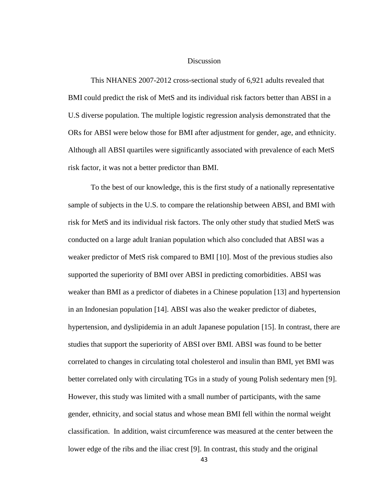### **Discussion**

This NHANES 2007-2012 cross-sectional study of 6,921 adults revealed that BMI could predict the risk of MetS and its individual risk factors better than ABSI in a U.S diverse population. The multiple logistic regression analysis demonstrated that the ORs for ABSI were below those for BMI after adjustment for gender, age, and ethnicity. Although all ABSI quartiles were significantly associated with prevalence of each MetS risk factor, it was not a better predictor than BMI.

To the best of our knowledge, this is the first study of a nationally representative sample of subjects in the U.S. to compare the relationship between ABSI, and BMI with risk for MetS and its individual risk factors. The only other study that studied MetS was conducted on a large adult Iranian population which also concluded that ABSI was a weaker predictor of MetS risk compared to BMI [10]. Most of the previous studies also supported the superiority of BMI over ABSI in predicting comorbidities. ABSI was weaker than BMI as a predictor of diabetes in a Chinese population [13] and hypertension in an Indonesian population [14]. ABSI was also the weaker predictor of diabetes, hypertension, and dyslipidemia in an adult Japanese population [15]. In contrast, there are studies that support the superiority of ABSI over BMI. ABSI was found to be better correlated to changes in circulating total cholesterol and insulin than BMI, yet BMI was better correlated only with circulating TGs in a study of young Polish sedentary men [9]. However, this study was limited with a small number of participants, with the same gender, ethnicity, and social status and whose mean BMI fell within the normal weight classification. In addition, waist circumference was measured at the center between the lower edge of the ribs and the iliac crest [9]. In contrast, this study and the original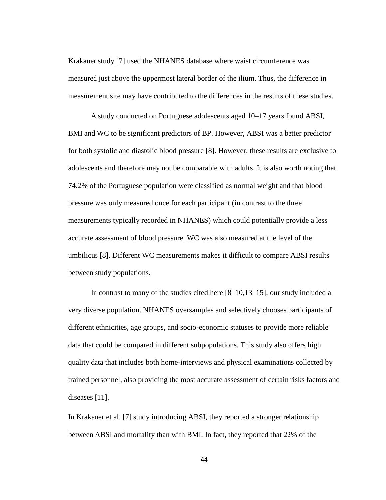Krakauer study [7] used the NHANES database where waist circumference was measured just above the uppermost lateral border of the ilium. Thus, the difference in measurement site may have contributed to the differences in the results of these studies.

A study conducted on Portuguese adolescents aged 10–17 years found ABSI, BMI and WC to be significant predictors of BP. However, ABSI was a better predictor for both systolic and diastolic blood pressure [8]. However, these results are exclusive to adolescents and therefore may not be comparable with adults. It is also worth noting that 74.2% of the Portuguese population were classified as normal weight and that blood pressure was only measured once for each participant (in contrast to the three measurements typically recorded in NHANES) which could potentially provide a less accurate assessment of blood pressure. WC was also measured at the level of the umbilicus [8]. Different WC measurements makes it difficult to compare ABSI results between study populations.

In contrast to many of the studies cited here [8–10,13–15], our study included a very diverse population. NHANES oversamples and selectively chooses participants of different ethnicities, age groups, and socio-economic statuses to provide more reliable data that could be compared in different subpopulations. This study also offers high quality data that includes both home-interviews and physical examinations collected by trained personnel, also providing the most accurate assessment of certain risks factors and diseases [11].

In Krakauer et al. [7] study introducing ABSI, they reported a stronger relationship between ABSI and mortality than with BMI. In fact, they reported that 22% of the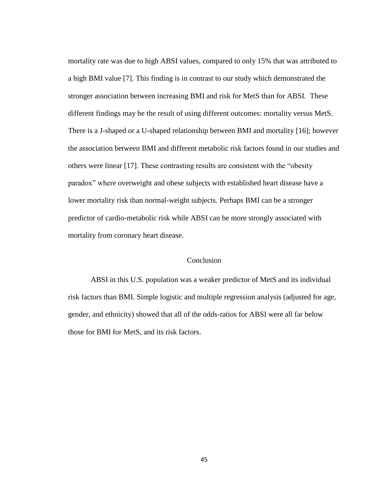mortality rate was due to high ABSI values, compared to only 15% that was attributed to a high BMI value [7]. This finding is in contrast to our study which demonstrated the stronger association between increasing BMI and risk for MetS than for ABSI. These different findings may be the result of using different outcomes: mortality versus MetS. There is a J-shaped or a U-shaped relationship between BMI and mortality [16]; however the association between BMI and different metabolic risk factors found in our studies and others were linear [17]. These contrasting results are consistent with the "obesity paradox" where overweight and obese subjects with established heart disease have a lower mortality risk than normal-weight subjects. Perhaps BMI can be a stronger predictor of cardio-metabolic risk while ABSI can be more strongly associated with mortality from coronary heart disease.

## Conclusion

ABSI in this U.S. population was a weaker predictor of MetS and its individual risk factors than BMI. Simple logistic and multiple regression analysis (adjusted for age, gender, and ethnicity) showed that all of the odds-ratios for ABSI were all far below those for BMI for MetS, and its risk factors.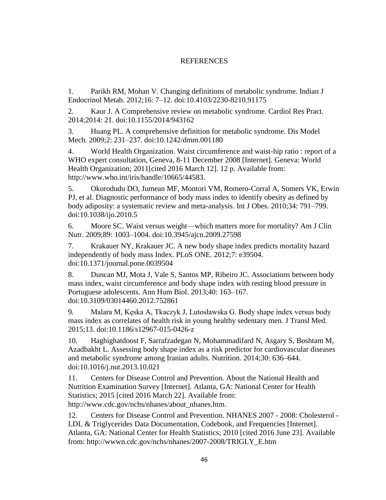# REFERENCES

1. Parikh RM, Mohan V. Changing definitions of metabolic syndrome. Indian J Endocrinol Metab. 2012;16: 7–12. doi:10.4103/2230-8210.91175

2. Kaur J. A Comprehensive review on metabolic syndrome. Cardiol Res Pract. 2014;2014: 21. doi:10.1155/2014/943162

3. Huang PL. A comprehensive definition for metabolic syndrome. Dis Model Mech. 2009;2: 231–237. doi:10.1242/dmm.001180

4. World Health Organization. Waist circumference and waist-hip ratio : report of a WHO expert consultation, Geneva, 8-11 December 2008 [Internet]. Geneva: World Health Organization; 2011[cited 2016 March 12]. 12 p. Available from: http://www.who.int/iris/handle/10665/44583.

5. Okorodudu DO, Jumean MF, Montori VM, Romero-Corral A, Somers VK, Erwin PJ, et al. Diagnostic performance of body mass index to identify obesity as defined by body adiposity: a systematic review and meta-analysis. Int J Obes. 2010;34: 791–799. doi:10.1038/ijo.2010.5

6. Moore SC. Waist versus weight—which matters more for mortality? Am J Clin Nutr. 2009;89: 1003–1004. doi:10.3945/ajcn.2009.27598

7. Krakauer NY, Krakauer JC. A new body shape index predicts mortality hazard independently of body mass Index. PLoS ONE. 2012;7: e39504. doi:10.1371/journal.pone.0039504

8. Duncan MJ, Mota J, Vale S, Santos MP, Ribeiro JC. Associations between body mass index, waist circumference and body shape index with resting blood pressure in Portuguese adolescents. Ann Hum Biol. 2013;40: 163–167. doi:10.3109/03014460.2012.752861

9. Malara M, Kęska A, Tkaczyk J, Lutosławska G. Body shape index versus body mass index as correlates of health risk in young healthy sedentary men. J Transl Med. 2015;13. doi:10.1186/s12967-015-0426-z

10. Haghighatdoost F, Sarrafzadegan N, Mohammadifard N, Asgary S, Boshtam M, Azadbakht L. Assessing body shape index as a risk predictor for cardiovascular diseases and metabolic syndrome among Iranian adults. Nutrition. 2014;30: 636–644. doi:10.1016/j.nut.2013.10.021

11. Centers for Disease Control and Prevention. About the National Health and Nutrition Examination Survey [Internet]. Atlanta, GA: National Center for Health Statistics; 2015 [cited 2016 March 22]. Available from: http://www.cdc.gov/nchs/nhanes/about\_nhanes.htm.

12. Centers for Disease Control and Prevention. NHANES 2007 - 2008: Cholesterol - LDL & Triglycerides Data Documentation, Codebook, and Frequencies [Internet]. Atlanta, GA: National Center for Health Statistics; 2010 [cited 2016 June 23]. Available from: http://wwwn.cdc.gov/nchs/nhanes/2007-2008/TRIGLY\_E.htm